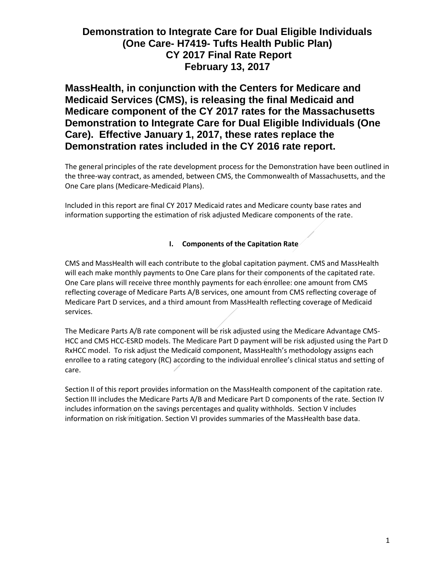**MassHealth, in conjunction with the Centers for Medicare and Medicaid Services (CMS), is releasing the final Medicaid and Medicare component of the CY 2017 rates for the Massachusetts Demonstration to Integrate Care for Dual Eligible Individuals (One Care). Effective January 1, 2017, these rates replace the Demonstration rates included in the CY 2016 rate report.**

The general principles of the rate development process for the Demonstration have been outlined in the three-way contract, as amended, between CMS, the Commonwealth of Massachusetts, and the One Care plans (Medicare-Medicaid Plans).

Included in this report are final CY 2017 Medicaid rates and Medicare county base rates and information supporting the estimation of risk adjusted Medicare components of the rate.

## **I. Components of the Capitation Rate**

CMS and MassHealth will each contribute to the global capitation payment. CMS and MassHealth will each make monthly payments to One Care plans for their components of the capitated rate. One Care plans will receive three monthly payments for each enrollee: one amount from CMS reflecting coverage of Medicare Parts A/B services, one amount from CMS reflecting coverage of Medicare Part D services, and a third amount from MassHealth reflecting coverage of Medicaid services.

The Medicare Parts A/B rate component will be risk adjusted using the Medicare Advantage CMS-HCC and CMS HCC-ESRD models. The Medicare Part D payment will be risk adjusted using the Part D RxHCC model. To risk adjust the Medicaid component, MassHealth's methodology assigns each enrollee to a rating category (RC) according to the individual enrollee's clinical status and setting of care.

Section II of this report provides information on the MassHealth component of the capitation rate. Section III includes the Medicare Parts A/B and Medicare Part D components of the rate. Section IV includes information on the savings percentages and quality withholds. Section V includes information on risk mitigation. Section VI provides summaries of the MassHealth base data.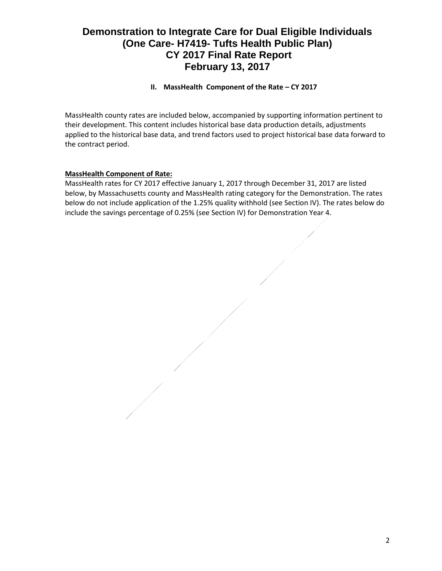## **II. MassHealth Component of the Rate – CY 2017**

MassHealth county rates are included below, accompanied by supporting information pertinent to their development. This content includes historical base data production details, adjustments applied to the historical base data, and trend factors used to project historical base data forward to the contract period.

## **MassHealth Component of Rate:**

MassHealth rates for CY 2017 effective January 1, 2017 through December 31, 2017 are listed below, by Massachusetts county and MassHealth rating category for the Demonstration. The rates below do not include application of the 1.25% quality withhold (see Section IV). The rates below do include the savings percentage of 0.25% (see Section IV) for Demonstration Year 4.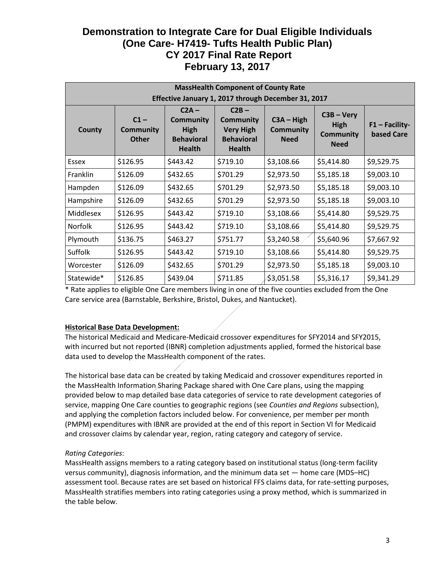| <b>MassHealth Component of County Rate</b>          |                                            |                                                                                  |                                                                                       |                                                 |                                                         |                                |
|-----------------------------------------------------|--------------------------------------------|----------------------------------------------------------------------------------|---------------------------------------------------------------------------------------|-------------------------------------------------|---------------------------------------------------------|--------------------------------|
| Effective January 1, 2017 through December 31, 2017 |                                            |                                                                                  |                                                                                       |                                                 |                                                         |                                |
| County                                              | $C1 -$<br><b>Community</b><br><b>Other</b> | $C2A -$<br><b>Community</b><br><b>High</b><br><b>Behavioral</b><br><b>Health</b> | $C2B -$<br><b>Community</b><br><b>Very High</b><br><b>Behavioral</b><br><b>Health</b> | $C3A - High$<br><b>Community</b><br><b>Need</b> | $C3B - Very$<br>High<br><b>Community</b><br><b>Need</b> | $F1 - Facility-$<br>based Care |
| Essex                                               | \$126.95                                   | \$443.42                                                                         | \$719.10                                                                              | \$3,108.66                                      | \$5,414.80                                              | \$9,529.75                     |
| Franklin                                            | \$126.09                                   | \$432.65                                                                         | \$701.29                                                                              | \$2,973.50                                      | \$5,185.18                                              | \$9,003.10                     |
| Hampden                                             | \$126.09                                   | \$432.65                                                                         | \$701.29                                                                              | \$2,973.50                                      | \$5,185.18                                              | \$9,003.10                     |
| Hampshire                                           | \$126.09                                   | \$432.65                                                                         | \$701.29                                                                              | \$2,973.50                                      | \$5,185.18                                              | \$9,003.10                     |
| Middlesex                                           | \$126.95                                   | \$443.42                                                                         | \$719.10                                                                              | \$3,108.66                                      | \$5,414.80                                              | \$9,529.75                     |
| <b>Norfolk</b>                                      | \$126.95                                   | \$443.42                                                                         | \$719.10                                                                              | \$3,108.66                                      | \$5,414.80                                              | \$9,529.75                     |
| Plymouth                                            | \$136.75                                   | \$463.27                                                                         | \$751.77                                                                              | \$3,240.58                                      | \$5,640.96                                              | \$7,667.92                     |
| <b>Suffolk</b>                                      | \$126.95                                   | \$443.42                                                                         | \$719.10                                                                              | \$3,108.66                                      | \$5,414.80                                              | \$9,529.75                     |
| Worcester                                           | \$126.09                                   | \$432.65                                                                         | \$701.29                                                                              | \$2,973.50                                      | \$5,185.18                                              | \$9,003.10                     |
| Statewide*                                          | \$126.85                                   | \$439.04                                                                         | \$711.85                                                                              | \$3,051.58                                      | \$5,316.17                                              | \$9,341.29                     |

\* Rate applies to eligible One Care members living in one of the five counties excluded from the One Care service area (Barnstable, Berkshire, Bristol, Dukes, and Nantucket).

## **Historical Base Data Development:**

The historical Medicaid and Medicare-Medicaid crossover expenditures for SFY2014 and SFY2015, with incurred but not reported (IBNR) completion adjustments applied, formed the historical base data used to develop the MassHealth component of the rates.

The historical base data can be created by taking Medicaid and crossover expenditures reported in the MassHealth Information Sharing Package shared with One Care plans, using the mapping provided below to map detailed base data categories of service to rate development categories of service, mapping One Care counties to geographic regions (see *Counties and Regions* subsection), and applying the completion factors included below. For convenience, per member per month (PMPM) expenditures with IBNR are provided at the end of this report in Section VI for Medicaid and crossover claims by calendar year, region, rating category and category of service.

## *Rating Categories*:

MassHealth assigns members to a rating category based on institutional status (long-term facility versus community), diagnosis information, and the minimum data set — home care (MDS–HC) assessment tool. Because rates are set based on historical FFS claims data, for rate-setting purposes, MassHealth stratifies members into rating categories using a proxy method, which is summarized in the table below.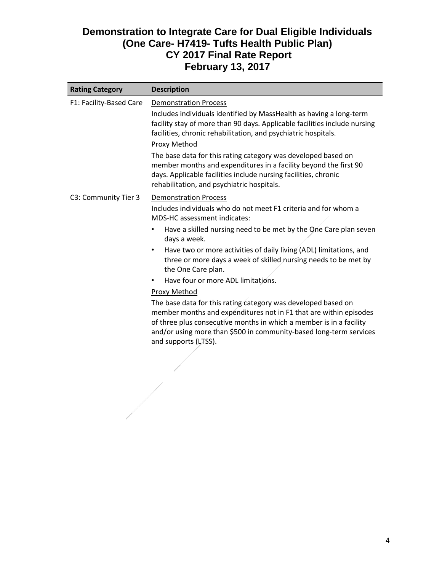| <b>Rating Category</b>  | <b>Description</b>                                                                                                                                                                                                                                                                                      |  |  |  |
|-------------------------|---------------------------------------------------------------------------------------------------------------------------------------------------------------------------------------------------------------------------------------------------------------------------------------------------------|--|--|--|
| F1: Facility-Based Care | <b>Demonstration Process</b>                                                                                                                                                                                                                                                                            |  |  |  |
|                         | Includes individuals identified by MassHealth as having a long-term<br>facility stay of more than 90 days. Applicable facilities include nursing<br>facilities, chronic rehabilitation, and psychiatric hospitals.                                                                                      |  |  |  |
|                         | Proxy Method                                                                                                                                                                                                                                                                                            |  |  |  |
|                         | The base data for this rating category was developed based on<br>member months and expenditures in a facility beyond the first 90<br>days. Applicable facilities include nursing facilities, chronic<br>rehabilitation, and psychiatric hospitals.                                                      |  |  |  |
| C3: Community Tier 3    | <b>Demonstration Process</b>                                                                                                                                                                                                                                                                            |  |  |  |
|                         | Includes individuals who do not meet F1 criteria and for whom a<br>MDS-HC assessment indicates:                                                                                                                                                                                                         |  |  |  |
|                         | Have a skilled nursing need to be met by the One Care plan seven<br>٠<br>days a week.                                                                                                                                                                                                                   |  |  |  |
|                         | Have two or more activities of daily living (ADL) limitations, and<br>$\bullet$<br>three or more days a week of skilled nursing needs to be met by<br>the One Care plan.                                                                                                                                |  |  |  |
|                         | Have four or more ADL limitations.                                                                                                                                                                                                                                                                      |  |  |  |
|                         | Proxy Method                                                                                                                                                                                                                                                                                            |  |  |  |
|                         | The base data for this rating category was developed based on<br>member months and expenditures not in F1 that are within episodes<br>of three plus consecutive months in which a member is in a facility<br>and/or using more than \$500 in community-based long-term services<br>and supports (LTSS). |  |  |  |
|                         |                                                                                                                                                                                                                                                                                                         |  |  |  |

 $\begin{array}{c} \begin{array}{c} \begin{array}{c} \begin{array}{c} \end{array} \\ \begin{array}{c} \end{array} \end{array} \end{array} \end{array}$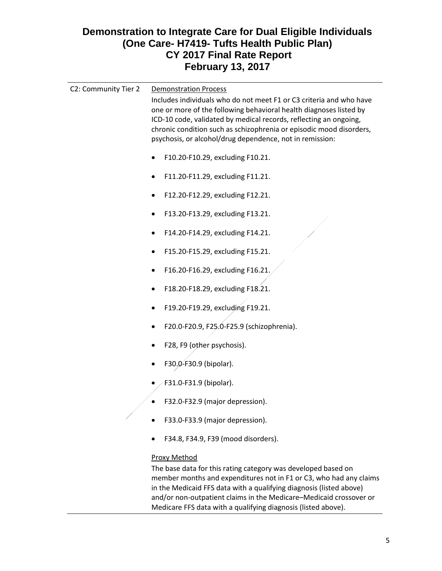| C2: Community Tier 2 | <b>Demonstration Process</b><br>Includes individuals who do not meet F1 or C3 criteria and who have<br>one or more of the following behavioral health diagnoses listed by<br>ICD-10 code, validated by medical records, reflecting an ongoing,<br>chronic condition such as schizophrenia or episodic mood disorders,<br>psychosis, or alcohol/drug dependence, not in remission: |
|----------------------|-----------------------------------------------------------------------------------------------------------------------------------------------------------------------------------------------------------------------------------------------------------------------------------------------------------------------------------------------------------------------------------|
|                      | F10.20-F10.29, excluding F10.21.                                                                                                                                                                                                                                                                                                                                                  |
|                      | F11.20-F11.29, excluding F11.21.                                                                                                                                                                                                                                                                                                                                                  |
|                      | F12.20-F12.29, excluding F12.21.                                                                                                                                                                                                                                                                                                                                                  |
|                      | F13.20-F13.29, excluding F13.21.                                                                                                                                                                                                                                                                                                                                                  |
|                      | F14.20-F14.29, excluding F14.21.                                                                                                                                                                                                                                                                                                                                                  |
|                      | F15.20-F15.29, excluding F15.21.                                                                                                                                                                                                                                                                                                                                                  |
|                      | F16.20-F16.29, excluding F16.21.                                                                                                                                                                                                                                                                                                                                                  |
|                      | F18.20-F18.29, excluding F18.21.                                                                                                                                                                                                                                                                                                                                                  |
|                      | F19.20-F19.29, excluding F19.21.                                                                                                                                                                                                                                                                                                                                                  |
|                      | F20.0-F20.9, F25.0-F25.9 (schizophrenia).                                                                                                                                                                                                                                                                                                                                         |
|                      | F28, F9 (other psychosis).                                                                                                                                                                                                                                                                                                                                                        |
|                      | F30.0-F30.9 (bipolar).                                                                                                                                                                                                                                                                                                                                                            |
|                      | F31.0-F31.9 (bipolar).                                                                                                                                                                                                                                                                                                                                                            |
|                      | F32.0-F32.9 (major depression).                                                                                                                                                                                                                                                                                                                                                   |
|                      | F33.0-F33.9 (major depression).                                                                                                                                                                                                                                                                                                                                                   |
|                      | F34.8, F34.9, F39 (mood disorders).                                                                                                                                                                                                                                                                                                                                               |
|                      | <b>Proxy Method</b><br>The base data for this rating category was developed based on<br>member months and expenditures not in F1 or C3, who had any claims                                                                                                                                                                                                                        |

in the Medicaid FFS data with a qualifying diagnosis (listed above) and/or non-outpatient claims in the Medicare–Medicaid crossover or Medicare FFS data with a qualifying diagnosis (listed above).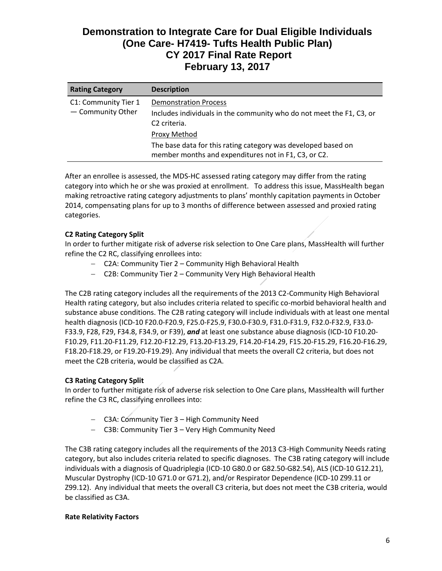| <b>Rating Category</b>                    | <b>Description</b>                                                                                                               |
|-------------------------------------------|----------------------------------------------------------------------------------------------------------------------------------|
| C1: Community Tier 1<br>- Community Other | <b>Demonstration Process</b><br>Includes individuals in the community who do not meet the F1, C3, or<br>C <sub>2</sub> criteria. |
|                                           | Proxy Method                                                                                                                     |
|                                           | The base data for this rating category was developed based on<br>member months and expenditures not in F1, C3, or C2.            |

After an enrollee is assessed, the MDS-HC assessed rating category may differ from the rating category into which he or she was proxied at enrollment. To address this issue, MassHealth began making retroactive rating category adjustments to plans' monthly capitation payments in October 2014, compensating plans for up to 3 months of difference between assessed and proxied rating categories.

## **C2 Rating Category Split**

In order to further mitigate risk of adverse risk selection to One Care plans, MassHealth will further refine the C2 RC, classifying enrollees into:

- C2A: Community Tier 2 Community High Behavioral Health
- C2B: Community Tier 2 Community Very High Behavioral Health

The C2B rating category includes all the requirements of the 2013 C2-Community High Behavioral Health rating category, but also includes criteria related to specific co-morbid behavioral health and substance abuse conditions. The C2B rating category will include individuals with at least one mental health diagnosis (ICD-10 F20.0-F20.9, F25.0-F25.9, F30.0-F30.9, F31.0-F31.9, F32.0-F32.9, F33.0- F33.9, F28, F29, F34.8, F34.9, or F39), *and* at least one substance abuse diagnosis (ICD-10 F10.20- F10.29, F11.20-F11.29, F12.20-F12.29, F13.20-F13.29, F14.20-F14.29, F15.20-F15.29, F16.20-F16.29, F18.20-F18.29, or F19.20-F19.29). Any individual that meets the overall C2 criteria, but does not meet the C2B criteria, would be classified as C2A.

## **C3 Rating Category Split**

In order to further mitigate risk of adverse risk selection to One Care plans, MassHealth will further refine the C3 RC, classifying enrollees into:

- C3A: Community Tier 3 High Community Need
- C3B: Community Tier 3 Very High Community Need

The C3B rating category includes all the requirements of the 2013 C3-High Community Needs rating category, but also includes criteria related to specific diagnoses. The C3B rating category will include individuals with a diagnosis of Quadriplegia (ICD-10 G80.0 or G82.50-G82.54), ALS (ICD-10 G12.21), Muscular Dystrophy (ICD-10 G71.0 or G71.2), and/or Respirator Dependence (ICD-10 Z99.11 or Z99.12). Any individual that meets the overall C3 criteria, but does not meet the C3B criteria, would be classified as C3A.

#### **Rate Relativity Factors**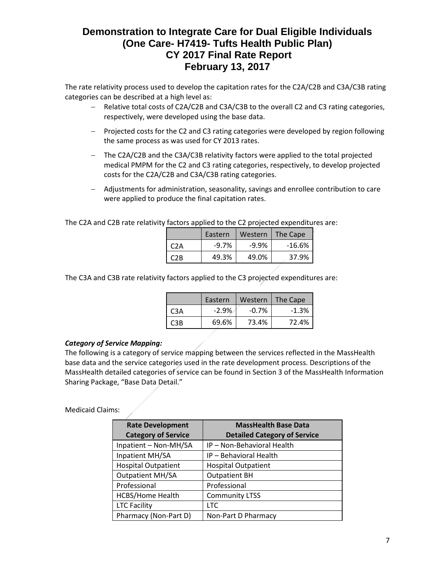The rate relativity process used to develop the capitation rates for the C2A/C2B and C3A/C3B rating categories can be described at a high level as:

- Relative total costs of C2A/C2B and C3A/C3B to the overall C2 and C3 rating categories, respectively, were developed using the base data.
- Projected costs for the C2 and C3 rating categories were developed by region following the same process as was used for CY 2013 rates.
- The C2A/C2B and the C3A/C3B relativity factors were applied to the total projected medical PMPM for the C2 and C3 rating categories, respectively, to develop projected costs for the C2A/C2B and C3A/C3B rating categories.
- Adjustments for administration, seasonality, savings and enrollee contribution to care were applied to produce the final capitation rates.

The C2A and C2B rate relativity factors applied to the C2 projected expenditures are:

|      | Eastern  | Western  | The Cape |
|------|----------|----------|----------|
| C2A  | $-9.7\%$ | $-9.9\%$ | $-16.6%$ |
| C2B. | 49.3%    | 49.0%    | 37.9%    |

The C3A and C3B rate relativity factors applied to the C3 projected expenditures are:

|     | Eastern | Western  | The Cape |
|-----|---------|----------|----------|
| C3A | $-2.9%$ | $-0.7\%$ | $-1.3%$  |
| CRR | 69.6%   | 73.4%    | 72.4%    |

## *Category of Service Mapping:*

The following is a category of service mapping between the services reflected in the MassHealth base data and the service categories used in the rate development process. Descriptions of the MassHealth detailed categories of service can be found in Section 3 of the MassHealth Information Sharing Package, "Base Data Detail."

#### Medicaid Claims:

| <b>Rate Development</b><br><b>Category of Service</b> | <b>MassHealth Base Data</b><br><b>Detailed Category of Service</b> |
|-------------------------------------------------------|--------------------------------------------------------------------|
| Inpatient - Non-MH/SA                                 | IP - Non-Behavioral Health                                         |
| Inpatient MH/SA                                       | IP - Behavioral Health                                             |
| <b>Hospital Outpatient</b>                            | <b>Hospital Outpatient</b>                                         |
| <b>Outpatient MH/SA</b>                               | <b>Outpatient BH</b>                                               |
| Professional                                          | Professional                                                       |
| <b>HCBS/Home Health</b>                               | <b>Community LTSS</b>                                              |
| <b>LTC Facility</b>                                   | LTC                                                                |
| Pharmacy (Non-Part D)                                 | Non-Part D Pharmacy                                                |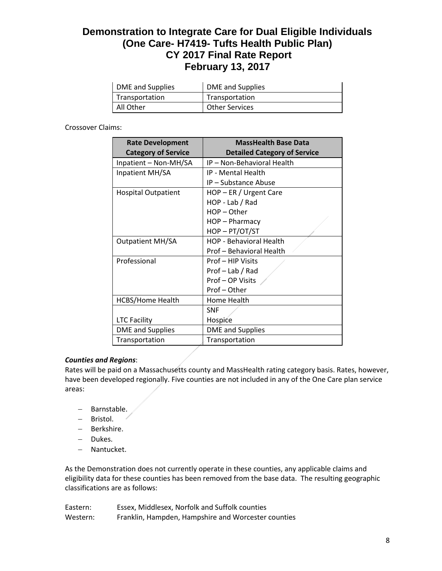| DME and Supplies | DME and Supplies      |
|------------------|-----------------------|
| Transportation   | Transportation        |
| All Other        | <b>Other Services</b> |

Crossover Claims:

| <b>Rate Development</b><br><b>Category of Service</b> | <b>MassHealth Base Data</b><br><b>Detailed Category of Service</b> |  |  |  |
|-------------------------------------------------------|--------------------------------------------------------------------|--|--|--|
| Inpatient - Non-MH/SA                                 | IP - Non-Behavioral Health                                         |  |  |  |
| Inpatient MH/SA                                       | IP - Mental Health                                                 |  |  |  |
|                                                       | IP - Substance Abuse                                               |  |  |  |
| <b>Hospital Outpatient</b>                            | HOP - ER / Urgent Care                                             |  |  |  |
|                                                       | HOP - Lab / Rad                                                    |  |  |  |
|                                                       | $HOP - Other$                                                      |  |  |  |
|                                                       | HOP - Pharmacy                                                     |  |  |  |
|                                                       | HOP-PT/OT/ST                                                       |  |  |  |
| <b>Outpatient MH/SA</b>                               | HOP - Behavioral Health                                            |  |  |  |
|                                                       | Prof - Behavioral Health                                           |  |  |  |
| Professional                                          | Prof - HIP Visits                                                  |  |  |  |
|                                                       | Prof - Lab / Rad                                                   |  |  |  |
|                                                       | Prof-OP Visits                                                     |  |  |  |
|                                                       | Prof-Other                                                         |  |  |  |
| <b>HCBS/Home Health</b>                               | Home Health                                                        |  |  |  |
|                                                       | <b>SNF</b>                                                         |  |  |  |
| <b>LTC Facility</b>                                   | Hospice                                                            |  |  |  |
| <b>DME</b> and Supplies                               | <b>DME</b> and Supplies                                            |  |  |  |
| Transportation                                        | Transportation                                                     |  |  |  |

## *Counties and Regions*:

Rates will be paid on a Massachusetts county and MassHealth rating category basis. Rates, however, have been developed regionally. Five counties are not included in any of the One Care plan service areas:

- Barnstable.
- Bristol.
- Berkshire.
- Dukes.
- Nantucket.

As the Demonstration does not currently operate in these counties, any applicable claims and eligibility data for these counties has been removed from the base data. The resulting geographic classifications are as follows:

| Eastern: | Essex, Middlesex, Norfolk and Suffolk counties      |
|----------|-----------------------------------------------------|
| Western: | Franklin, Hampden, Hampshire and Worcester counties |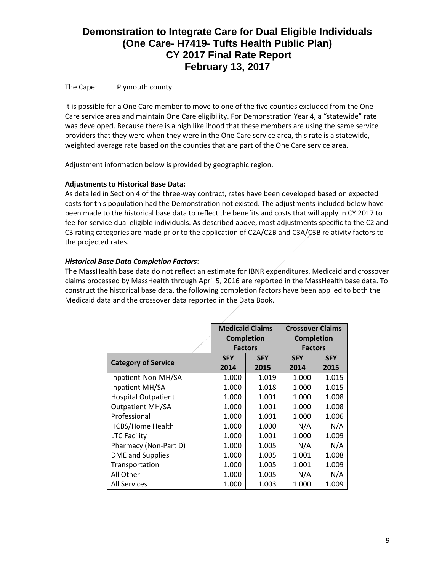The Cape: Plymouth county

It is possible for a One Care member to move to one of the five counties excluded from the One Care service area and maintain One Care eligibility. For Demonstration Year 4, a "statewide" rate was developed. Because there is a high likelihood that these members are using the same service providers that they were when they were in the One Care service area, this rate is a statewide, weighted average rate based on the counties that are part of the One Care service area.

Adjustment information below is provided by geographic region.

## **Adjustments to Historical Base Data:**

As detailed in Section 4 of the three-way contract, rates have been developed based on expected costs for this population had the Demonstration not existed. The adjustments included below have been made to the historical base data to reflect the benefits and costs that will apply in CY 2017 to fee-for-service dual eligible individuals. As described above, most adjustments specific to the C2 and C3 rating categories are made prior to the application of C2A/C2B and C3A/C3B relativity factors to the projected rates.

## *Historical Base Data Completion Factors*:

The MassHealth base data do not reflect an estimate for IBNR expenditures. Medicaid and crossover claims processed by MassHealth through April 5, 2016 are reported in the MassHealth base data. To construct the historical base data, the following completion factors have been applied to both the Medicaid data and the crossover data reported in the Data Book.

|                            | <b>Medicaid Claims</b> |                   | <b>Crossover Claims</b> |            |
|----------------------------|------------------------|-------------------|-------------------------|------------|
|                            |                        | <b>Completion</b> | <b>Completion</b>       |            |
|                            |                        | <b>Factors</b>    | <b>Factors</b>          |            |
|                            | <b>SFY</b>             | <b>SFY</b>        | <b>SFY</b>              | <b>SFY</b> |
| <b>Category of Service</b> | 2014                   | 2015              | 2014                    | 2015       |
| Inpatient-Non-MH/SA        | 1.000                  | 1.019             | 1.000                   | 1.015      |
| Inpatient MH/SA            | 1.000                  | 1.018             | 1.000                   | 1.015      |
| <b>Hospital Outpatient</b> | 1.000                  | 1.001             | 1.000                   | 1.008      |
| <b>Outpatient MH/SA</b>    | 1.000                  | 1.001             | 1.000                   | 1.008      |
| Professional               | 1.000                  | 1.001             | 1.000                   | 1.006      |
| <b>HCBS/Home Health</b>    | 1.000                  | 1.000             | N/A                     | N/A        |
| <b>LTC Facility</b>        | 1.000                  | 1.001             | 1.000                   | 1.009      |
| Pharmacy (Non-Part D)      | 1.000                  | 1.005             | N/A                     | N/A        |
| <b>DME</b> and Supplies    | 1.000                  | 1.005             | 1.001                   | 1.008      |
| Transportation             | 1.000                  | 1.005             | 1.001                   | 1.009      |
| All Other                  | 1.000                  | 1.005             | N/A                     | N/A        |
| <b>All Services</b>        | 1.000                  | 1.003             | 1.000                   | 1.009      |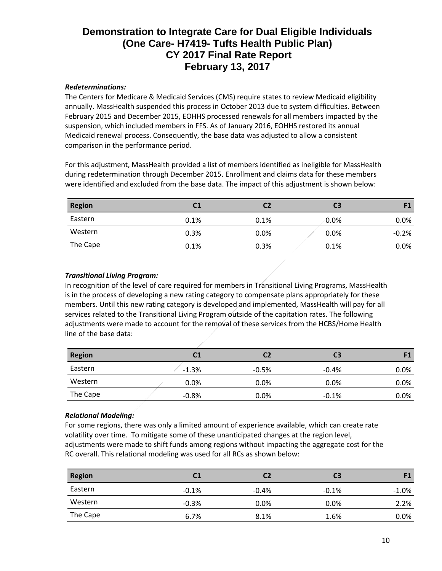## *Redeterminations:*

The Centers for Medicare & Medicaid Services (CMS) require states to review Medicaid eligibility annually. MassHealth suspended this process in October 2013 due to system difficulties. Between February 2015 and December 2015, EOHHS processed renewals for all members impacted by the suspension, which included members in FFS. As of January 2016, EOHHS restored its annual Medicaid renewal process. Consequently, the base data was adjusted to allow a consistent comparison in the performance period.

For this adjustment, MassHealth provided a list of members identified as ineligible for MassHealth during redetermination through December 2015. Enrollment and claims data for these members were identified and excluded from the base data. The impact of this adjustment is shown below:

| <b>Region</b> | C <sub>1</sub> | C2   | C <sub>3</sub> | F1      |
|---------------|----------------|------|----------------|---------|
| Eastern       | 0.1%           | 0.1% | 0.0%           | $0.0\%$ |
| Western       | 0.3%           | 0.0% | $0.0\%$        | $-0.2%$ |
| The Cape      | 0.1%           | 0.3% | 0.1%           | $0.0\%$ |

## *Transitional Living Program:*

In recognition of the level of care required for members in Transitional Living Programs, MassHealth is in the process of developing a new rating category to compensate plans appropriately for these members. Until this new rating category is developed and implemented, MassHealth will pay for all services related to the Transitional Living Program outside of the capitation rates. The following adjustments were made to account for the removal of these services from the HCBS/Home Health line of the base data:

| <b>Region</b> | C1      |         | C3      |         |
|---------------|---------|---------|---------|---------|
| Eastern       | $-1.3%$ | $-0.5%$ | $-0.4%$ | $0.0\%$ |
| Western       | 0.0%    | $0.0\%$ | 0.0%    | $0.0\%$ |
| The Cape      | $-0.8%$ | $0.0\%$ | $-0.1%$ | $0.0\%$ |

## *Relational Modeling:*

For some regions, there was only a limited amount of experience available, which can create rate volatility over time. To mitigate some of these unanticipated changes at the region level, adjustments were made to shift funds among regions without impacting the aggregate cost for the RC overall. This relational modeling was used for all RCs as shown below:

| <b>Region</b> | C1      | C2      | C3      | F1       |
|---------------|---------|---------|---------|----------|
| Eastern       | $-0.1%$ | $-0.4%$ | $-0.1%$ | $-1.0\%$ |
| Western       | $-0.3%$ | 0.0%    | 0.0%    | 2.2%     |
| The Cape      | 6.7%    | 8.1%    | 1.6%    | $0.0\%$  |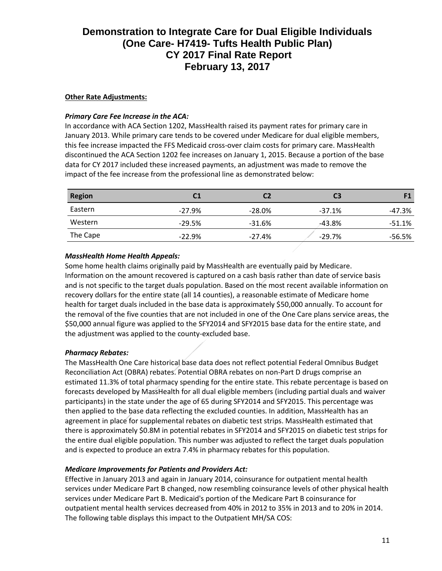## **Other Rate Adjustments:**

### *Primary Care Fee Increase in the ACA:*

In accordance with ACA Section 1202, MassHealth raised its payment rates for primary care in January 2013. While primary care tends to be covered under Medicare for dual eligible members, this fee increase impacted the FFS Medicaid cross-over claim costs for primary care. MassHealth discontinued the ACA Section 1202 fee increases on January 1, 2015. Because a portion of the base data for CY 2017 included these increased payments, an adjustment was made to remove the impact of the fee increase from the professional line as demonstrated below:

| <b>Region</b> | C1       | C2       | C <sub>3</sub> | F1       |
|---------------|----------|----------|----------------|----------|
| Eastern       | $-27.9%$ | $-28.0%$ | $-37.1%$       | -47.3%   |
| Western       | $-29.5%$ | $-31.6%$ | $-43.8%$       | $-51.1%$ |
| The Cape      | $-22.9%$ | $-27.4%$ | $-29.7%$       | -56.5%   |

## *MassHealth Home Health Appeals:*

Some home health claims originally paid by MassHealth are eventually paid by Medicare. Information on the amount recovered is captured on a cash basis rather than date of service basis and is not specific to the target duals population. Based on the most recent available information on recovery dollars for the entire state (all 14 counties), a reasonable estimate of Medicare home health for target duals included in the base data is approximately \$50,000 annually. To account for the removal of the five counties that are not included in one of the One Care plans service areas, the \$50,000 annual figure was applied to the SFY2014 and SFY2015 base data for the entire state, and the adjustment was applied to the county-excluded base.

#### *Pharmacy Rebates:*

The MassHealth One Care historical base data does not reflect potential Federal Omnibus Budget Reconciliation Act (OBRA) rebates. Potential OBRA rebates on non-Part D drugs comprise an estimated 11.3% of total pharmacy spending for the entire state. This rebate percentage is based on forecasts developed by MassHealth for all dual eligible members (including partial duals and waiver participants) in the state under the age of 65 during SFY2014 and SFY2015. This percentage was then applied to the base data reflecting the excluded counties. In addition, MassHealth has an agreement in place for supplemental rebates on diabetic test strips. MassHealth estimated that there is approximately \$0.8M in potential rebates in SFY2014 and SFY2015 on diabetic test strips for the entire dual eligible population. This number was adjusted to reflect the target duals population and is expected to produce an extra 7.4% in pharmacy rebates for this population.

## *Medicare Improvements for Patients and Providers Act:*

Effective in January 2013 and again in January 2014, coinsurance for outpatient mental health services under Medicare Part B changed, now resembling coinsurance levels of other physical health services under Medicare Part B. Medicaid's portion of the Medicare Part B coinsurance for outpatient mental health services decreased from 40% in 2012 to 35% in 2013 and to 20% in 2014. The following table displays this impact to the Outpatient MH/SA COS: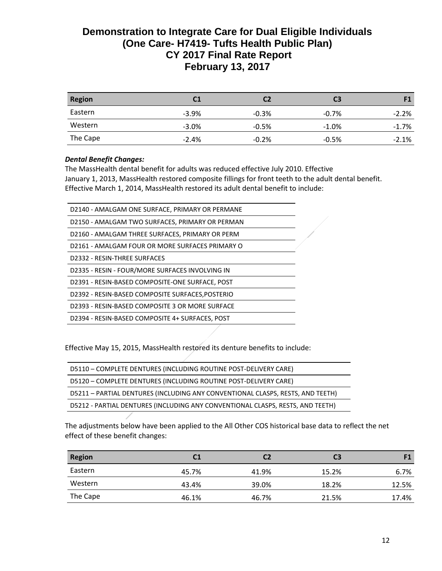| <b>Region</b> | C1      | C2      | C3       | F1       |
|---------------|---------|---------|----------|----------|
| Eastern       | $-3.9%$ | $-0.3%$ | $-0.7\%$ | $-2.2%$  |
| Western       | $-3.0%$ | $-0.5%$ | $-1.0%$  | $-1.7\%$ |
| The Cape      | $-2.4%$ | $-0.2%$ | $-0.5%$  | $-2.1\%$ |

## *Dental Benefit Changes:*

The MassHealth dental benefit for adults was reduced effective July 2010. Effective January 1, 2013, MassHealth restored composite fillings for front teeth to the adult dental benefit. Effective March 1, 2014, MassHealth restored its adult dental benefit to include:

| D2140 - AMALGAM ONE SURFACE, PRIMARY OR PERMANE  |  |
|--------------------------------------------------|--|
| D2150 - AMALGAM TWO SURFACES, PRIMARY OR PERMAN  |  |
| D2160 - AMALGAM THREE SURFACES, PRIMARY OR PERM  |  |
| D2161 - AMALGAM FOUR OR MORE SURFACES PRIMARY O  |  |
| D2332 - RESIN-THREE SURFACES                     |  |
| D2335 - RESIN - FOUR/MORE SURFACES INVOLVING IN  |  |
| D2391 - RESIN-BASED COMPOSITE-ONE SURFACE, POST  |  |
| D2392 - RESIN-BASED COMPOSITE SURFACES, POSTERIO |  |
| D2393 - RESIN-BASED COMPOSITE 3 OR MORE SURFACE  |  |
| D2394 - RESIN-BASED COMPOSITE 4+ SURFACES, POST  |  |
|                                                  |  |

Effective May 15, 2015, MassHealth restored its denture benefits to include:

| D5110 - COMPLETE DENTURES (INCLUDING ROUTINE POST-DELIVERY CARE)               |
|--------------------------------------------------------------------------------|
| D5120 - COMPLETE DENTURES (INCLUDING ROUTINE POST-DELIVERY CARE)               |
| D5211 - PARTIAL DENTURES (INCLUDING ANY CONVENTIONAL CLASPS, RESTS, AND TEETH) |
| D5212 - PARTIAL DENTURES (INCLUDING ANY CONVENTIONAL CLASPS, RESTS, AND TEETH) |

The adjustments below have been applied to the All Other COS historical base data to reflect the net effect of these benefit changes:

| <b>Region</b> | C1    |       | C <sub>3</sub> | F1    |
|---------------|-------|-------|----------------|-------|
| Eastern       | 45.7% | 41.9% | 15.2%          | 6.7%  |
| Western       | 43.4% | 39.0% | 18.2%          | 12.5% |
| The Cape      | 46.1% | 46.7% | 21.5%          | 17.4% |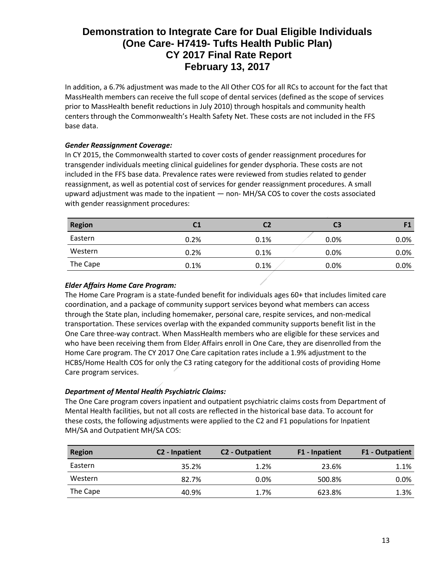In addition, a 6.7% adjustment was made to the All Other COS for all RCs to account for the fact that MassHealth members can receive the full scope of dental services (defined as the scope of services prior to MassHealth benefit reductions in July 2010) through hospitals and community health centers through the Commonwealth's Health Safety Net. These costs are not included in the FFS base data.

## *Gender Reassignment Coverage:*

In CY 2015, the Commonwealth started to cover costs of gender reassignment procedures for transgender individuals meeting clinical guidelines for gender dysphoria. These costs are not included in the FFS base data. Prevalence rates were reviewed from studies related to gender reassignment, as well as potential cost of services for gender reassignment procedures. A small upward adjustment was made to the inpatient — non- MH/SA COS to cover the costs associated with gender reassignment procedures:

| <b>Region</b> | C1   | C2   | C3      | F1   |
|---------------|------|------|---------|------|
| Eastern       | 0.2% | 0.1% | $0.0\%$ | 0.0% |
| Western       | 0.2% | 0.1% | $0.0\%$ | 0.0% |
| The Cape      | 0.1% | 0.1% | $0.0\%$ | 0.0% |

## *Elder Affairs Home Care Program:*

The Home Care Program is a state-funded benefit for individuals ages 60+ that includes limited care coordination, and a package of community support services beyond what members can access through the State plan, including homemaker, personal care, respite services, and non-medical transportation. These services overlap with the expanded community supports benefit list in the One Care three-way contract. When MassHealth members who are eligible for these services and who have been receiving them from Elder Affairs enroll in One Care, they are disenrolled from the Home Care program. The CY 2017 One Care capitation rates include a 1.9% adjustment to the HCBS/Home Health COS for only the C3 rating category for the additional costs of providing Home Care program services.

## *Department of Mental Health Psychiatric Claims:*

The One Care program covers inpatient and outpatient psychiatric claims costs from Department of Mental Health facilities, but not all costs are reflected in the historical base data. To account for these costs, the following adjustments were applied to the C2 and F1 populations for Inpatient MH/SA and Outpatient MH/SA COS:

| <b>Region</b> | C <sub>2</sub> - Inpatient | C <sub>2</sub> - Outpatient | F1 - Inpatient | <b>F1 - Outpatient</b> |
|---------------|----------------------------|-----------------------------|----------------|------------------------|
| Eastern       | 35.2%                      | 1.2%                        | 23.6%          | 1.1%                   |
| Western       | 82.7%                      | 0.0%                        | 500.8%         | 0.0%                   |
| The Cape      | 40.9%                      | 1.7%                        | 623.8%         | 1.3%                   |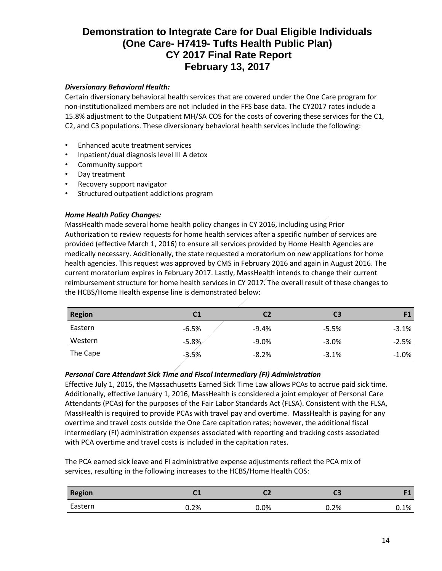## *Diversionary Behavioral Health:*

Certain diversionary behavioral health services that are covered under the One Care program for non-institutionalized members are not included in the FFS base data. The CY2017 rates include a 15.8% adjustment to the Outpatient MH/SA COS for the costs of covering these services for the C1, C2, and C3 populations. These diversionary behavioral health services include the following:

- Enhanced acute treatment services
- Inpatient/dual diagnosis level III A detox
- Community support
- Day treatment
- Recovery support navigator
- Structured outpatient addictions program

#### *Home Health Policy Changes:*

MassHealth made several home health policy changes in CY 2016, including using Prior Authorization to review requests for home health services after a specific number of services are provided (effective March 1, 2016) to ensure all services provided by Home Health Agencies are medically necessary. Additionally, the state requested a moratorium on new applications for home health agencies. This request was approved by CMS in February 2016 and again in August 2016. The current moratorium expires in February 2017. Lastly, MassHealth intends to change their current reimbursement structure for home health services in CY 2017. The overall result of these changes to the HCBS/Home Health expense line is demonstrated below:

| <b>Region</b> | C <sub>1</sub> | C2      | C3      | F1       |
|---------------|----------------|---------|---------|----------|
| Eastern       | $-6.5%$        | $-9.4%$ | $-5.5%$ | $-3.1\%$ |
| Western       | $-5.8%$        | $-9.0%$ | $-3.0%$ | $-2.5%$  |
| The Cape      | $-3.5%$        | $-8.2%$ | $-3.1%$ | $-1.0\%$ |

#### *Personal Care Attendant Sick Time and Fiscal Intermediary (FI) Administration*

Effective July 1, 2015, the Massachusetts Earned Sick Time Law allows PCAs to accrue paid sick time. Additionally, effective January 1, 2016, MassHealth is considered a joint employer of Personal Care Attendants (PCAs) for the purposes of the Fair Labor Standards Act (FLSA). Consistent with the FLSA, MassHealth is required to provide PCAs with travel pay and overtime. MassHealth is paying for any overtime and travel costs outside the One Care capitation rates; however, the additional fiscal intermediary (FI) administration expenses associated with reporting and tracking costs associated with PCA overtime and travel costs is included in the capitation rates.

The PCA earned sick leave and FI administrative expense adjustments reflect the PCA mix of services, resulting in the following increases to the HCBS/Home Health COS:

| <b>Region</b> | <b>CA</b><br>ີ | ∽    | u    | гσ      |
|---------------|----------------|------|------|---------|
| Eastern       | $0.2\%$        | 0.0% | 0.2% | $0.1\%$ |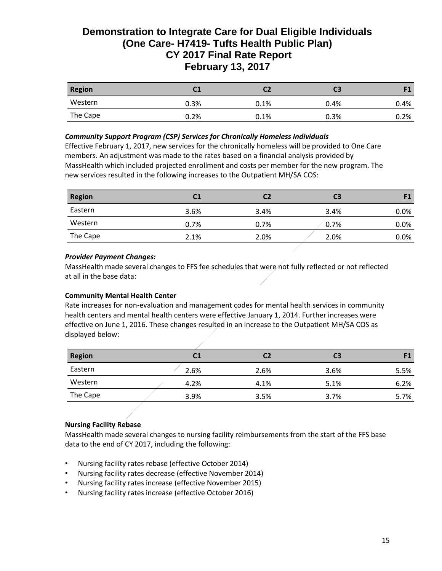| <b>Region</b> | C <sub>1</sub> | С2      | CЗ   |         |
|---------------|----------------|---------|------|---------|
| Western       | 0.3%           | 0.1%    | 0.4% | 0.4%    |
| The Cape      | 0.2%           | $0.1\%$ | 0.3% | $0.2\%$ |

#### *Community Support Program (CSP) Services for Chronically Homeless Individuals*

Effective February 1, 2017, new services for the chronically homeless will be provided to One Care members. An adjustment was made to the rates based on a financial analysis provided by MassHealth which included projected enrollment and costs per member for the new program. The new services resulted in the following increases to the Outpatient MH/SA COS:

| <b>Region</b> | C1   | C2   | C <sub>3</sub> | F1      |
|---------------|------|------|----------------|---------|
| Eastern       | 3.6% | 3.4% | 3.4%           | $0.0\%$ |
| Western       | 0.7% | 0.7% | 0.7%           | $0.0\%$ |
| The Cape      | 2.1% | 2.0% | 2.0%           | $0.0\%$ |

#### *Provider Payment Changes:*

MassHealth made several changes to FFS fee schedules that were not fully reflected or not reflected at all in the base data:

#### **Community Mental Health Center**

Rate increases for non-evaluation and management codes for mental health services in community health centers and mental health centers were effective January 1, 2014. Further increases were effective on June 1, 2016. These changes resulted in an increase to the Outpatient MH/SA COS as displayed below:

| <b>Region</b> | C1   | C2   | C <sub>3</sub> | 11   |
|---------------|------|------|----------------|------|
| Eastern       | 2.6% | 2.6% | 3.6%           | 5.5% |
| Western       | 4.2% | 4.1% | 5.1%           | 6.2% |
| The Cape      | 3.9% | 3.5% | 3.7%           | 5.7% |

## **Nursing Facility Rebase**

MassHealth made several changes to nursing facility reimbursements from the start of the FFS base data to the end of CY 2017, including the following:

- Nursing facility rates rebase (effective October 2014)
- Nursing facility rates decrease (effective November 2014)
- Nursing facility rates increase (effective November 2015)
- Nursing facility rates increase (effective October 2016)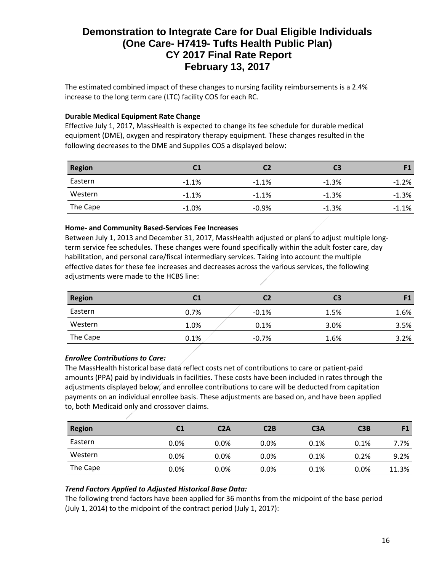The estimated combined impact of these changes to nursing facility reimbursements is a 2.4% increase to the long term care (LTC) facility COS for each RC.

## **Durable Medical Equipment Rate Change**

Effective July 1, 2017, MassHealth is expected to change its fee schedule for durable medical equipment (DME), oxygen and respiratory therapy equipment. These changes resulted in the following decreases to the DME and Supplies COS a displayed below:

| <b>Region</b> | C <sub>1</sub> |          | C <sub>3</sub> | F1      |
|---------------|----------------|----------|----------------|---------|
| Eastern       | $-1.1%$        | $-1.1%$  | $-1.3%$        | $-1.2%$ |
| Western       | $-1.1%$        | $-1.1\%$ | $-1.3%$        | $-1.3%$ |
| The Cape      | $-1.0%$        | $-0.9%$  | $-1.3%$        | $-1.1%$ |

#### **Home- and Community Based-Services Fee Increases**

Between July 1, 2013 and December 31, 2017, MassHealth adjusted or plans to adjust multiple longterm service fee schedules. These changes were found specifically within the adult foster care, day habilitation, and personal care/fiscal intermediary services. Taking into account the multiple effective dates for these fee increases and decreases across the various services, the following adjustments were made to the HCBS line:

| <b>Region</b> | C <sub>1</sub> | C2      | C3   | F1   |
|---------------|----------------|---------|------|------|
| Eastern       | 0.7%           | $-0.1%$ | 1.5% | 1.6% |
| Western       | 1.0%           | 0.1%    | 3.0% | 3.5% |
| The Cape      | 0.1%           | $-0.7%$ | 1.6% | 3.2% |

## *Enrollee Contributions to Care:*

The MassHealth historical base data reflect costs net of contributions to care or patient-paid amounts (PPA) paid by individuals in facilities. These costs have been included in rates through the adjustments displayed below, and enrollee contributions to care will be deducted from capitation payments on an individual enrollee basis. These adjustments are based on, and have been applied to, both Medicaid only and crossover claims.

| <b>Region</b> | C <sub>1</sub> | C2A     | C2B     | C <sub>3</sub> A | C3B  | F1    |
|---------------|----------------|---------|---------|------------------|------|-------|
| Eastern       | 0.0%           | $0.0\%$ | $0.0\%$ | 0.1%             | 0.1% | 7.7%  |
| Western       | $0.0\%$        | 0.0%    | $0.0\%$ | 0.1%             | 0.2% | 9.2%  |
| The Cape      | $0.0\%$        | 0.0%    | $0.0\%$ | 0.1%             | 0.0% | 11.3% |

## *Trend Factors Applied to Adjusted Historical Base Data:*

The following trend factors have been applied for 36 months from the midpoint of the base period (July 1, 2014) to the midpoint of the contract period (July 1, 2017):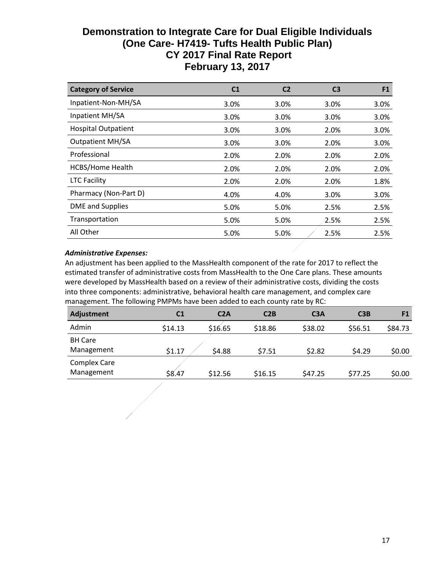| <b>Category of Service</b> | C1   | C <sub>2</sub> | C3   | F <sub>1</sub> |
|----------------------------|------|----------------|------|----------------|
| Inpatient-Non-MH/SA        | 3.0% | 3.0%           | 3.0% | 3.0%           |
| Inpatient MH/SA            | 3.0% | 3.0%           | 3.0% | 3.0%           |
| <b>Hospital Outpatient</b> | 3.0% | 3.0%           | 2.0% | 3.0%           |
| <b>Outpatient MH/SA</b>    | 3.0% | 3.0%           | 2.0% | 3.0%           |
| Professional               | 2.0% | 2.0%           | 2.0% | 2.0%           |
| <b>HCBS/Home Health</b>    | 2.0% | 2.0%           | 2.0% | 2.0%           |
| <b>LTC Facility</b>        | 2.0% | 2.0%           | 2.0% | 1.8%           |
| Pharmacy (Non-Part D)      | 4.0% | 4.0%           | 3.0% | 3.0%           |
| DME and Supplies           | 5.0% | 5.0%           | 2.5% | 2.5%           |
| Transportation             | 5.0% | 5.0%           | 2.5% | 2.5%           |
| All Other                  | 5.0% | 5.0%           | 2.5% | 2.5%           |

## *Administrative Expenses:*

An adjustment has been applied to the MassHealth component of the rate for 2017 to reflect the estimated transfer of administrative costs from MassHealth to the One Care plans. These amounts were developed by MassHealth based on a review of their administrative costs, dividing the costs into three components: administrative, behavioral health care management, and complex care management. The following PMPMs have been added to each county rate by RC:

| <b>Adjustment</b>   | C <sub>1</sub> | C2A     | C2B     | C <sub>3</sub> A | C3B     |         |
|---------------------|----------------|---------|---------|------------------|---------|---------|
| Admin               | \$14.13        | \$16.65 | \$18.86 | \$38.02          | \$56.51 | \$84.73 |
| <b>BH Care</b>      |                |         |         |                  |         |         |
| Management          | \$1.17         | \$4.88  | \$7.51  | \$2.82           | \$4.29  | \$0.00  |
| <b>Complex Care</b> |                |         |         |                  |         |         |
| Management          | \$8.47         | \$12.56 | \$16.15 | \$47.25          | \$77.25 | \$0.00  |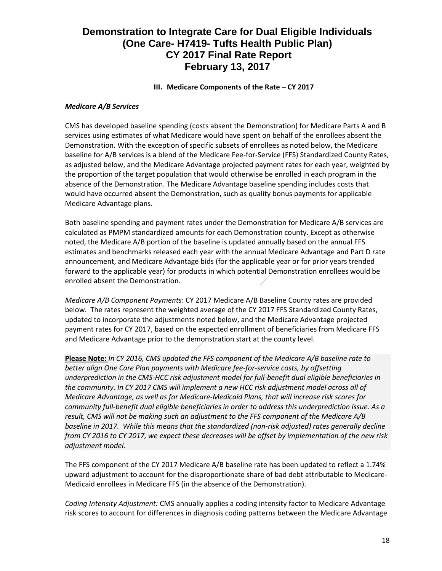## **III.** Medicare Components of the Rate – CY 2017

#### *Medicare A/B Services*

CMS has developed baseline spending (costs absent the Demonstration) for Medicare Parts A and B services using estimates of what Medicare would have spent on behalf of the enrollees absent the Demonstration. With the exception of specific subsets of enrollees as noted below, the Medicare baseline for A/B services is a blend of the Medicare Fee-for-Service (FFS) Standardized County Rates, as adjusted below, and the Medicare Advantage projected payment rates for each year, weighted by the proportion of the target population that would otherwise be enrolled in each program in the absence of the Demonstration. The Medicare Advantage baseline spending includes costs that would have occurred absent the Demonstration, such as quality bonus payments for applicable Medicare Advantage plans.

Both baseline spending and payment rates under the Demonstration for Medicare A/B services are calculated as PMPM standardized amounts for each Demonstration county. Except as otherwise noted, the Medicare A/B portion of the baseline is updated annually based on the annual FFS estimates and benchmarks released each year with the annual Medicare Advantage and Part D rate announcement, and Medicare Advantage bids (for the applicable year or for prior years trended forward to the applicable year) for products in which potential Demonstration enrollees would be enrolled absent the Demonstration.

*Medicare A/B Component Payments*: CY 2017 Medicare A/B Baseline County rates are provided below. The rates represent the weighted average of the CY 2017 FFS Standardized County Rates, updated to incorporate the adjustments noted below, and the Medicare Advantage projected payment rates for CY 2017, based on the expected enrollment of beneficiaries from Medicare FFS and Medicare Advantage prior to the demonstration start at the county level.

**Please Note:** *In CY 2016, CMS updated the FFS component of the Medicare A/B baseline rate to better align One Care Plan payments with Medicare fee-for-service costs, by offsetting underprediction in the CMS-HCC risk adjustment model for full-benefit dual eligible beneficiaries in the community. In CY 2017 CMS will implement a new HCC risk adjustment model across all of Medicare Advantage, as well as for Medicare-Medicaid Plans, that will increase risk scores for community full-benefit dual eligible beneficiaries in order to address this underprediction issue. As a result, CMS will not be making such an adjustment to the FFS component of the Medicare A/B baseline in 2017. While this means that the standardized (non-risk adjusted) rates generally decline from CY 2016 to CY 2017, we expect these decreases will be offset by implementation of the new risk adjustment model.*

The FFS component of the CY 2017 Medicare A/B baseline rate has been updated to reflect a 1.74% upward adjustment to account for the disproportionate share of bad debt attributable to Medicare-Medicaid enrollees in Medicare FFS (in the absence of the Demonstration).

*Coding Intensity Adjustment:* CMS annually applies a coding intensity factor to Medicare Advantage risk scores to account for differences in diagnosis coding patterns between the Medicare Advantage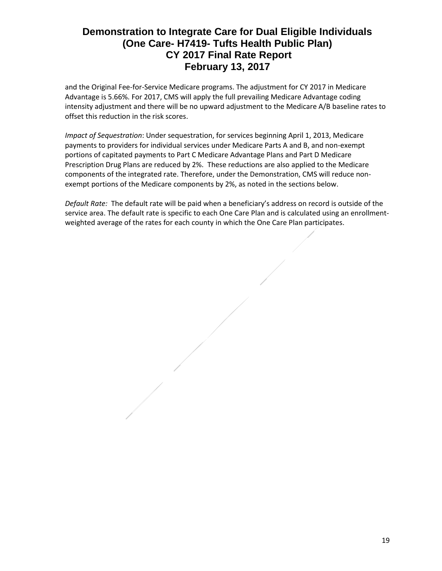and the Original Fee-for-Service Medicare programs. The adjustment for CY 2017 in Medicare Advantage is 5.66%. For 2017, CMS will apply the full prevailing Medicare Advantage coding intensity adjustment and there will be no upward adjustment to the Medicare A/B baseline rates to offset this reduction in the risk scores.

*Impact of Sequestration*: Under sequestration, for services beginning April 1, 2013, Medicare payments to providers for individual services under Medicare Parts A and B, and non-exempt portions of capitated payments to Part C Medicare Advantage Plans and Part D Medicare Prescription Drug Plans are reduced by 2%. These reductions are also applied to the Medicare components of the integrated rate. Therefore, under the Demonstration, CMS will reduce nonexempt portions of the Medicare components by 2%, as noted in the sections below.

*Default Rate:* The default rate will be paid when a beneficiary's address on record is outside of the service area. The default rate is specific to each One Care Plan and is calculated using an enrollmentweighted average of the rates for each county in which the One Care Plan participates.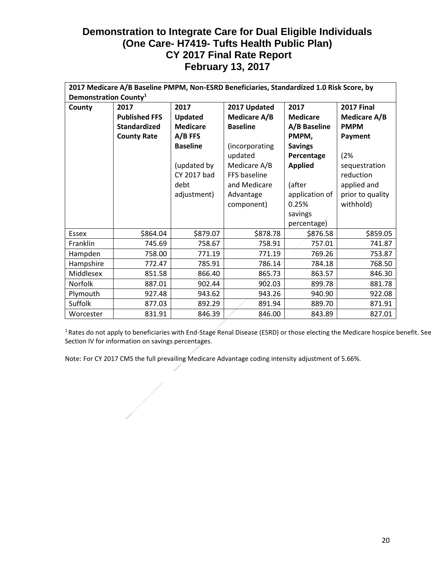|                 | 2017 Medicare A/B Baseline PMPM, Non-ESRD Beneficiaries, Standardized 1.0 Risk Score, by |                 |                     |                 |                   |  |  |  |  |  |  |  |  |  |  |
|-----------------|------------------------------------------------------------------------------------------|-----------------|---------------------|-----------------|-------------------|--|--|--|--|--|--|--|--|--|--|
|                 | Demonstration County <sup>1</sup>                                                        |                 |                     |                 |                   |  |  |  |  |  |  |  |  |  |  |
| County          | 2017                                                                                     | 2017            | 2017 Updated        | 2017            | <b>2017 Final</b> |  |  |  |  |  |  |  |  |  |  |
|                 | <b>Published FFS</b>                                                                     | <b>Updated</b>  | <b>Medicare A/B</b> | <b>Medicare</b> | Medicare A/B      |  |  |  |  |  |  |  |  |  |  |
|                 | <b>Standardized</b>                                                                      | <b>Medicare</b> | <b>Baseline</b>     | A/B Baseline    | <b>PMPM</b>       |  |  |  |  |  |  |  |  |  |  |
|                 | <b>County Rate</b>                                                                       | $A/B$ FFS       |                     | PMPM,           | Payment           |  |  |  |  |  |  |  |  |  |  |
|                 |                                                                                          | <b>Baseline</b> | (incorporating      | <b>Savings</b>  |                   |  |  |  |  |  |  |  |  |  |  |
|                 |                                                                                          |                 | updated             | Percentage      | (2%               |  |  |  |  |  |  |  |  |  |  |
|                 |                                                                                          | (updated by     | Medicare A/B        | <b>Applied</b>  | sequestration     |  |  |  |  |  |  |  |  |  |  |
|                 |                                                                                          | CY 2017 bad     | FFS baseline        |                 | reduction         |  |  |  |  |  |  |  |  |  |  |
|                 |                                                                                          | debt            | and Medicare        | (after          | applied and       |  |  |  |  |  |  |  |  |  |  |
|                 |                                                                                          | adjustment)     | Advantage           | application of  | prior to quality  |  |  |  |  |  |  |  |  |  |  |
|                 |                                                                                          |                 | component)          | 0.25%           | withhold)         |  |  |  |  |  |  |  |  |  |  |
|                 |                                                                                          |                 |                     | savings         |                   |  |  |  |  |  |  |  |  |  |  |
|                 |                                                                                          |                 |                     | percentage)     |                   |  |  |  |  |  |  |  |  |  |  |
| <b>Essex</b>    | \$864.04                                                                                 | \$879.07        | \$878.78            | \$876.58        | \$859.05          |  |  |  |  |  |  |  |  |  |  |
| <b>Franklin</b> | 745.69                                                                                   | 758.67          | 758.91              | 757.01          | 741.87            |  |  |  |  |  |  |  |  |  |  |
| Hampden         | 758.00                                                                                   | 771.19          | 771.19              | 769.26          | 753.87            |  |  |  |  |  |  |  |  |  |  |
| Hampshire       | 772.47                                                                                   | 785.91          | 786.14              | 784.18          | 768.50            |  |  |  |  |  |  |  |  |  |  |
| Middlesex       | 851.58                                                                                   | 866.40          | 865.73              | 863.57          | 846.30            |  |  |  |  |  |  |  |  |  |  |
| Norfolk         | 887.01                                                                                   | 902.44          | 902.03              | 899.78          | 881.78            |  |  |  |  |  |  |  |  |  |  |
| Plymouth        | 927.48                                                                                   | 943.62          | 943.26              | 940.90          | 922.08            |  |  |  |  |  |  |  |  |  |  |
| Suffolk         | 877.03                                                                                   | 892.29          | 891.94              | 889.70          | 871.91            |  |  |  |  |  |  |  |  |  |  |
| Worcester       | 831.91                                                                                   | 846.39          | 846.00              | 843.89          | 827.01            |  |  |  |  |  |  |  |  |  |  |

<sup>1</sup> Rates do not apply to beneficiaries with End-Stage Renal Disease (ESRD) or those electing the Medicare hospice benefit. See Section IV for information on savings percentages.

Note: For CY 2017 CMS the full prevailing Medicare Advantage coding intensity adjustment of 5.66%.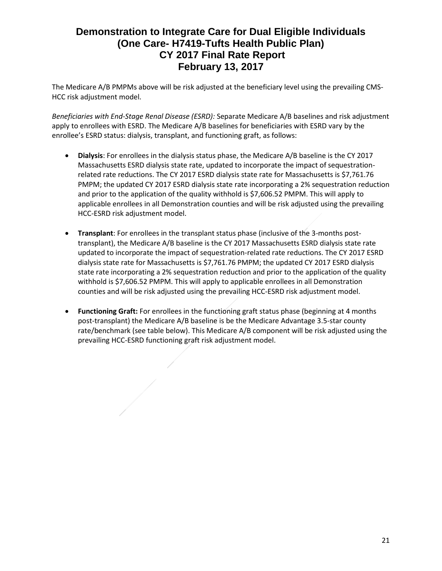The Medicare A/B PMPMs above will be risk adjusted at the beneficiary level using the prevailing CMS-HCC risk adjustment model.

*Beneficiaries with End-Stage Renal Disease (ESRD):* Separate Medicare A/B baselines and risk adjustment apply to enrollees with ESRD. The Medicare A/B baselines for beneficiaries with ESRD vary by the enrollee's ESRD status: dialysis, transplant, and functioning graft, as follows:

- **Dialysis**: For enrollees in the dialysis status phase, the Medicare A/B baseline is the CY 2017 Massachusetts ESRD dialysis state rate, updated to incorporate the impact of sequestrationrelated rate reductions. The CY 2017 ESRD dialysis state rate for Massachusetts is \$7,761.76 PMPM; the updated CY 2017 ESRD dialysis state rate incorporating a 2% sequestration reduction and prior to the application of the quality withhold is \$7,606.52 PMPM. This will apply to applicable enrollees in all Demonstration counties and will be risk adjusted using the prevailing HCC-ESRD risk adjustment model.
- **Transplant**: For enrollees in the transplant status phase (inclusive of the 3-months posttransplant), the Medicare A/B baseline is the CY 2017 Massachusetts ESRD dialysis state rate updated to incorporate the impact of sequestration-related rate reductions. The CY 2017 ESRD dialysis state rate for Massachusetts is \$7,761.76 PMPM; the updated CY 2017 ESRD dialysis state rate incorporating a 2% sequestration reduction and prior to the application of the quality withhold is \$7,606.52 PMPM. This will apply to applicable enrollees in all Demonstration counties and will be risk adjusted using the prevailing HCC-ESRD risk adjustment model.
- **Functioning Graft:** For enrollees in the functioning graft status phase (beginning at 4 months post-transplant) the Medicare A/B baseline is be the Medicare Advantage 3.5-star county rate/benchmark (see table below). This Medicare A/B component will be risk adjusted using the prevailing HCC-ESRD functioning graft risk adjustment model.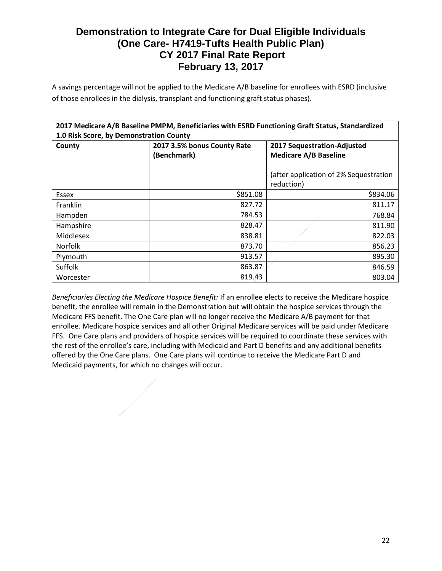A savings percentage will not be applied to the Medicare A/B baseline for enrollees with ESRD (inclusive of those enrollees in the dialysis, transplant and functioning graft status phases).

|                                         |                             | 2017 Medicare A/B Baseline PMPM, Beneficiaries with ESRD Functioning Graft Status, Standardized |  |  |  |  |  |  |  |  |  |  |
|-----------------------------------------|-----------------------------|-------------------------------------------------------------------------------------------------|--|--|--|--|--|--|--|--|--|--|
| 1.0 Risk Score, by Demonstration County |                             |                                                                                                 |  |  |  |  |  |  |  |  |  |  |
| County                                  | 2017 3.5% bonus County Rate | 2017 Sequestration-Adjusted                                                                     |  |  |  |  |  |  |  |  |  |  |
|                                         | (Benchmark)                 | <b>Medicare A/B Baseline</b>                                                                    |  |  |  |  |  |  |  |  |  |  |
|                                         |                             |                                                                                                 |  |  |  |  |  |  |  |  |  |  |
|                                         |                             | (after application of 2% Sequestration                                                          |  |  |  |  |  |  |  |  |  |  |
|                                         |                             | reduction)                                                                                      |  |  |  |  |  |  |  |  |  |  |
| Essex                                   | \$851.08                    | \$834.06                                                                                        |  |  |  |  |  |  |  |  |  |  |
| Franklin                                | 827.72                      | 811.17                                                                                          |  |  |  |  |  |  |  |  |  |  |
| Hampden                                 | 784.53                      | 768.84                                                                                          |  |  |  |  |  |  |  |  |  |  |
| Hampshire                               | 828.47                      | 811.90                                                                                          |  |  |  |  |  |  |  |  |  |  |
| Middlesex                               | 838.81                      | 822.03                                                                                          |  |  |  |  |  |  |  |  |  |  |
| <b>Norfolk</b>                          | 873.70                      | 856.23                                                                                          |  |  |  |  |  |  |  |  |  |  |
| Plymouth                                | 913.57                      | 895.30                                                                                          |  |  |  |  |  |  |  |  |  |  |
| Suffolk                                 | 863.87                      | 846.59                                                                                          |  |  |  |  |  |  |  |  |  |  |
| Worcester                               | 819.43                      | 803.04                                                                                          |  |  |  |  |  |  |  |  |  |  |

*Beneficiaries Electing the Medicare Hospice Benefit:* If an enrollee elects to receive the Medicare hospice benefit, the enrollee will remain in the Demonstration but will obtain the hospice services through the Medicare FFS benefit. The One Care plan will no longer receive the Medicare A/B payment for that enrollee. Medicare hospice services and all other Original Medicare services will be paid under Medicare FFS. One Care plans and providers of hospice services will be required to coordinate these services with the rest of the enrollee's care, including with Medicaid and Part D benefits and any additional benefits offered by the One Care plans. One Care plans will continue to receive the Medicare Part D and Medicaid payments, for which no changes will occur.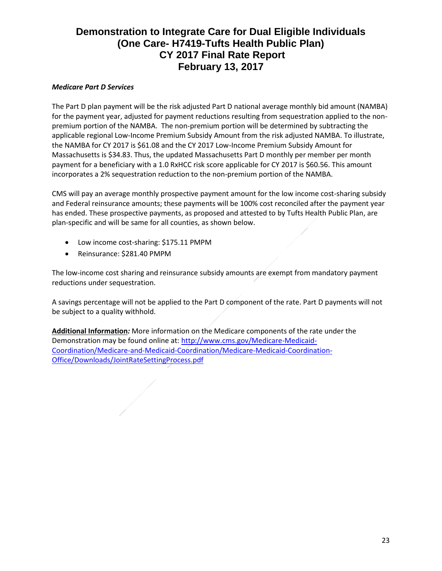## *Medicare Part D Services*

The Part D plan payment will be the risk adjusted Part D national average monthly bid amount (NAMBA) for the payment year, adjusted for payment reductions resulting from sequestration applied to the nonpremium portion of the NAMBA. The non-premium portion will be determined by subtracting the applicable regional Low-Income Premium Subsidy Amount from the risk adjusted NAMBA. To illustrate, the NAMBA for CY 2017 is \$61.08 and the CY 2017 Low-Income Premium Subsidy Amount for Massachusetts is \$34.83. Thus, the updated Massachusetts Part D monthly per member per month payment for a beneficiary with a 1.0 RxHCC risk score applicable for CY 2017 is \$60.56. This amount incorporates a 2% sequestration reduction to the non-premium portion of the NAMBA.

CMS will pay an average monthly prospective payment amount for the low income cost-sharing subsidy and Federal reinsurance amounts; these payments will be 100% cost reconciled after the payment year has ended. These prospective payments, as proposed and attested to by Tufts Health Public Plan, are plan-specific and will be same for all counties, as shown below.

- Low income cost-sharing: \$175.11 PMPM
- Reinsurance: \$281.40 PMPM

The low-income cost sharing and reinsurance subsidy amounts are exempt from mandatory payment reductions under sequestration.

A savings percentage will not be applied to the Part D component of the rate. Part D payments will not be subject to a quality withhold.

**Additional Information***:* More information on the Medicare components of the rate under the Demonstration may be found online at: [http://www.cms.gov/Medicare-Medicaid-](http://www.cms.gov/Medicare-Medicaid-Coordination/Medicare-and-Medicaid-Coordination/Medicare-Medicaid-Coordination-Office/Downloads/JointRateSettingProcess.pdf)[Coordination/Medicare-and-Medicaid-Coordination/Medicare-Medicaid-Coordination-](http://www.cms.gov/Medicare-Medicaid-Coordination/Medicare-and-Medicaid-Coordination/Medicare-Medicaid-Coordination-Office/Downloads/JointRateSettingProcess.pdf)[Office/Downloads/JointRateSettingProcess.pdf](http://www.cms.gov/Medicare-Medicaid-Coordination/Medicare-and-Medicaid-Coordination/Medicare-Medicaid-Coordination-Office/Downloads/JointRateSettingProcess.pdf)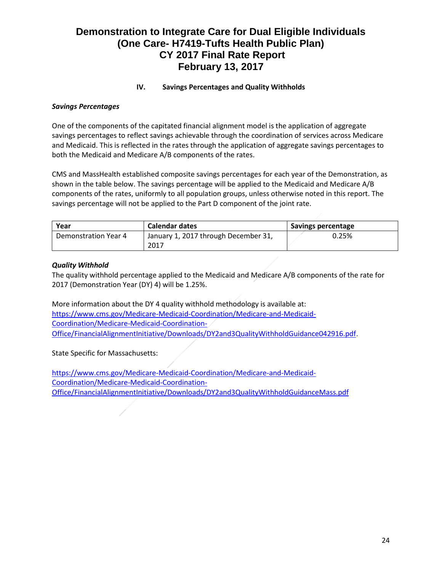## **IV. Savings Percentages and Quality Withholds**

## *Savings Percentages*

One of the components of the capitated financial alignment model is the application of aggregate savings percentages to reflect savings achievable through the coordination of services across Medicare and Medicaid. This is reflected in the rates through the application of aggregate savings percentages to both the Medicaid and Medicare A/B components of the rates.

CMS and MassHealth established composite savings percentages for each year of the Demonstration, as shown in the table below. The savings percentage will be applied to the Medicaid and Medicare A/B components of the rates, uniformly to all population groups, unless otherwise noted in this report. The savings percentage will not be applied to the Part D component of the joint rate.

| Year                 | <b>Calendar dates</b>                | Savings percentage |
|----------------------|--------------------------------------|--------------------|
| Demonstration Year 4 | January 1, 2017 through December 31, | 0.25%              |
|                      | 2017                                 |                    |

## *Quality Withhold*

The quality withhold percentage applied to the Medicaid and Medicare A/B components of the rate for 2017 (Demonstration Year (DY) 4) will be 1.25%.

More information about the DY 4 quality withhold methodology is available at: [https://www.cms.gov/Medicare-Medicaid-Coordination/Medicare-and-Medicaid-](https://www.cms.gov/Medicare-Medicaid-Coordination/Medicare-and-Medicaid-Coordination/Medicare-Medicaid-Coordination-Office/FinancialAlignmentInitiative/Downloads/DY2and3QualityWithholdGuidance042916.pdf)[Coordination/Medicare-Medicaid-Coordination-](https://www.cms.gov/Medicare-Medicaid-Coordination/Medicare-and-Medicaid-Coordination/Medicare-Medicaid-Coordination-Office/FinancialAlignmentInitiative/Downloads/DY2and3QualityWithholdGuidance042916.pdf)[Office/FinancialAlignmentInitiative/Downloads/DY2and3QualityWithholdGuidance042916.pdf](https://www.cms.gov/Medicare-Medicaid-Coordination/Medicare-and-Medicaid-Coordination/Medicare-Medicaid-Coordination-Office/FinancialAlignmentInitiative/Downloads/DY2and3QualityWithholdGuidance042916.pdf).

State Specific for Massachusetts:

[https://www.cms.gov/Medicare-Medicaid-Coordination/Medicare-and-Medicaid-](https://www.cms.gov/Medicare-Medicaid-Coordination/Medicare-and-Medicaid-Coordination/Medicare-Medicaid-Coordination-Office/FinancialAlignmentInitiative/Downloads/DY2and3QualityWithholdGuidanceMass.pdf)[Coordination/Medicare-Medicaid-Coordination-](https://www.cms.gov/Medicare-Medicaid-Coordination/Medicare-and-Medicaid-Coordination/Medicare-Medicaid-Coordination-Office/FinancialAlignmentInitiative/Downloads/DY2and3QualityWithholdGuidanceMass.pdf)[Office/FinancialAlignmentInitiative/Downloads/DY2and3QualityWithholdGuidanceMass.pdf](https://www.cms.gov/Medicare-Medicaid-Coordination/Medicare-and-Medicaid-Coordination/Medicare-Medicaid-Coordination-Office/FinancialAlignmentInitiative/Downloads/DY2and3QualityWithholdGuidanceMass.pdf)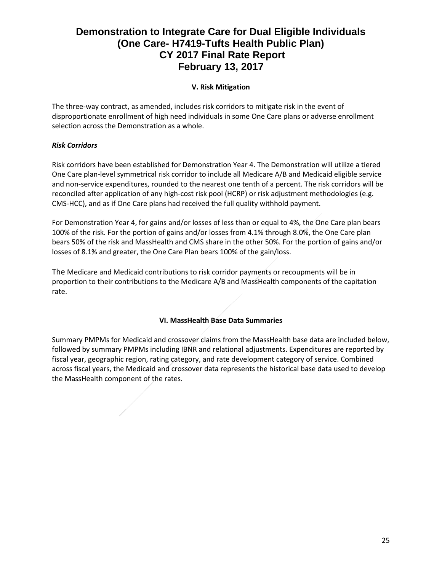## **V. Risk Mitigation**

The three-way contract, as amended, includes risk corridors to mitigate risk in the event of disproportionate enrollment of high need individuals in some One Care plans or adverse enrollment selection across the Demonstration as a whole.

## *Risk Corridors*

Risk corridors have been established for Demonstration Year 4. The Demonstration will utilize a tiered One Care plan-level symmetrical risk corridor to include all Medicare A/B and Medicaid eligible service and non-service expenditures, rounded to the nearest one tenth of a percent. The risk corridors will be reconciled after application of any high-cost risk pool (HCRP) or risk adjustment methodologies (e.g. CMS-HCC), and as if One Care plans had received the full quality withhold payment.

For Demonstration Year 4, for gains and/or losses of less than or equal to 4%, the One Care plan bears 100% of the risk. For the portion of gains and/or losses from 4.1% through 8.0%, the One Care plan bears 50% of the risk and MassHealth and CMS share in the other 50%. For the portion of gains and/or losses of 8.1% and greater, the One Care Plan bears 100% of the gain/loss.

The Medicare and Medicaid contributions to risk corridor payments or recoupments will be in proportion to their contributions to the Medicare A/B and MassHealth components of the capitation rate.

## **VI. MassHealth Base Data Summaries**

Summary PMPMs for Medicaid and crossover claims from the MassHealth base data are included below, followed by summary PMPMs including IBNR and relational adjustments. Expenditures are reported by fiscal year, geographic region, rating category, and rate development category of service. Combined across fiscal years, the Medicaid and crossover data represents the historical base data used to develop the MassHealth component of the rates.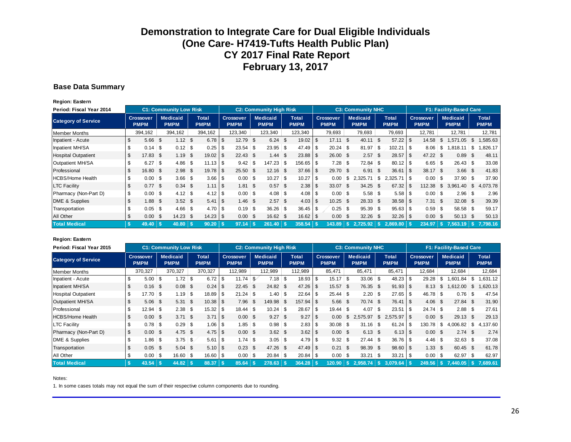#### **Base Data Summary**

**Region: Eastern**

| Period: Fiscal Year 2014   | <b>C1: Community Low Risk</b><br><b>C2: Community High Risk</b><br><b>C3: Community NHC</b> |                                 |          |                                |     |                             |            |                                 |      |                                |                             | F1: Facility-Based Care |                                 |      |                                |                             |                 |  |                                 |                                |                             |     |                             |
|----------------------------|---------------------------------------------------------------------------------------------|---------------------------------|----------|--------------------------------|-----|-----------------------------|------------|---------------------------------|------|--------------------------------|-----------------------------|-------------------------|---------------------------------|------|--------------------------------|-----------------------------|-----------------|--|---------------------------------|--------------------------------|-----------------------------|-----|-----------------------------|
| <b>Category of Service</b> |                                                                                             | <b>Crossover</b><br><b>PMPM</b> |          | <b>Medicaid</b><br><b>PMPM</b> |     | <b>Total</b><br><b>PMPM</b> |            | <b>Crossover</b><br><b>PMPM</b> |      | <b>Medicaid</b><br><b>PMPM</b> | <b>Total</b><br><b>PMPM</b> |                         | <b>Crossover</b><br><b>PMPM</b> |      | <b>Medicaid</b><br><b>PMPM</b> | <b>Total</b><br><b>PMPM</b> |                 |  | <b>Crossover</b><br><b>PMPM</b> | <b>Medicaid</b><br><b>PMPM</b> |                             |     | <b>Total</b><br><b>PMPM</b> |
| <b>Member Months</b>       |                                                                                             | 394,162                         |          | 394,162                        |     | 394,162                     |            | 123,340                         |      | 123,340                        | 123,340                     |                         | 79,693                          |      | 79,693                         |                             | 79,693          |  | 12,781                          | 12,781                         |                             |     | 12,781                      |
| Inpatient - Acute          | \$                                                                                          | 5.66                            | - \$     | 1.12                           | \$  | 6.78                        | \$         | 12.79 \$                        |      | $6.24$ \$                      | 19.02                       | \$                      | 17.11                           | \$   | 40.11                          | \$                          |                 |  | 14.58                           | \$.                            | ,571.05                     | S   | 585.63                      |
| Inpatient MH/SA            | \$                                                                                          |                                 |          | 0.12                           | \$  | 0.25                        | -\$        | $23.54$ \$                      |      | $23.95$ \$                     | 47.49                       | \$                      | 20.24                           | -\$  | 81.97                          | \$                          | $102.21$ \\$    |  | 8.06                            | \$                             | .818.11                     | \$  | ,826.17                     |
| <b>Hospital Outpatient</b> | \$                                                                                          | 17.83                           | - \$     | 1.19                           | \$  | 19.02                       | \$         | $22.43$ \$                      |      | $1.44$ \$                      | 23.88                       | - \$                    | 26.00                           | -\$  | 2.57                           | \$                          |                 |  | 47.22 \$                        |                                | 0.89                        | \$  | 48.11                       |
| Outpatient MH/SA           | \$                                                                                          | 6.27                            | <b>S</b> | 4.86                           | \$  | $11.13$ $\sqrt{3}$          |            |                                 |      | $147.23$ \$                    | $156.65$ \ \$               |                         | 7.28                            | \$   | 72.84                          | \$                          |                 |  | $6.65$ \ \$                     |                                | $26.43$ \$                  |     | 33.08                       |
| Professional               | \$                                                                                          | 16.80                           | \$       | 2.98                           | \$  | 19.78                       | \$         | $25.50$ \$                      |      | $12.16$ \$                     | $37.66$ \ \$                |                         | 29.70                           | \$.  | 6.91                           | \$                          | $36.61$ \ \$    |  | 38.17 \$                        |                                | $3.66$ \$                   |     | 41.83                       |
| <b>HCBS/Home Health</b>    | \$                                                                                          | 0.00                            | \$       | $3.66$ \$                      |     | 3.66                        | \$         | $0.00$ \$                       |      | $10.27$ \$                     | 10.27                       | \$                      | 0.00                            | \$   | 2,325.71                       | \$                          |                 |  | $0.00$ \ \$                     |                                | $37.90$ \$                  |     | 37.90                       |
| <b>LTC Facility</b>        | \$                                                                                          | 0.77                            | \$       | 0.34                           | -\$ | 1.11                        | $\sqrt{3}$ | 1.81                            | - \$ | $0.57$ \$                      | 2.38                        | -\$                     | 33.07                           | - \$ | 34.25                          | - \$                        |                 |  | 112.38                          | -S                             | 3,961.40                    | \$  | 4,073.78                    |
| Pharmacy (Non-Part D)      | \$                                                                                          | 0.00                            | - \$     | 4.12                           | -\$ | 4.12                        | \$         | $0.00$ \$                       |      |                                | $4.08$ \ \$                 |                         | $0.00$ \$                       |      | 5.58                           | \$                          | $5.58$   \$     |  | $0.00$ \ \$                     |                                |                             |     | 2.96                        |
| DME & Supplies             | \$                                                                                          | 1.88                            | -\$      | $3.52$ \$                      |     | 5.41                        | - \$       | $1.46$ \$                       |      | $2.57$ \$                      | 4.03                        | \$                      | 10.25                           | - \$ | 28.33                          | \$                          |                 |  | $7.31$ \$                       |                                | $32.08$ \$                  |     | 39.39                       |
| Transportation             | \$                                                                                          | 0.05                            | - \$     | 4.66                           | \$  | 4.70                        | -\$        |                                 |      | $36.26$ \$                     | $36.45$ \$                  |                         | 0.25                            | -\$  | 95.39                          | \$                          | $95.63$ \$      |  |                                 |                                | $58.58$ \$                  |     | 59.17                       |
| All Other                  | \$                                                                                          | 0.00                            | - \$     | 14.23                          | \$  | $14.23$ \$                  |            | $0.00\,$ \$                     |      | 16.62 \$                       | 16.62                       | \$                      | 0.00                            | \$   | 32.26                          | - \$                        |                 |  | $0.00\quad$ \$                  |                                | 50.13                       | -\$ | 50.13                       |
| <b>Total Medical</b>       | -\$                                                                                         | 49.40                           |          | 40.80                          |     | $90.20$ \$                  |            | 97.14                           |      | $261.40$ \$                    | 358.54                      |                         | 143.89                          |      | $S$ 2.725.92                   |                             | $2.869.80$   \$ |  |                                 |                                | $234.97$   \$ 7.563.19   \$ |     | 7.798.16                    |

#### **Region: Eastern**

| Period: Fiscal Year 2015   | <b>C1: Community Low Risk</b><br><b>C2: Community High Risk</b><br><b>C3: Community NHC</b> |            |      |                                |      |                      |      |                                 |         |                                |  |                             |          | F1: Facility-Based Care         |      |                                |          |                             |        |                                 |        |                                  |      |                             |
|----------------------------|---------------------------------------------------------------------------------------------|------------|------|--------------------------------|------|----------------------|------|---------------------------------|---------|--------------------------------|--|-----------------------------|----------|---------------------------------|------|--------------------------------|----------|-----------------------------|--------|---------------------------------|--------|----------------------------------|------|-----------------------------|
| <b>Category of Service</b> | <b>Crossover</b><br><b>PMPM</b>                                                             |            |      | <b>Medicaid</b><br><b>PMPM</b> |      | Total<br><b>PMPM</b> |      | <b>Crossover</b><br><b>PMPM</b> |         | <b>Medicaid</b><br><b>PMPM</b> |  | <b>Total</b><br><b>PMPM</b> |          | <b>Crossover</b><br><b>PMPM</b> |      | <b>Medicaid</b><br><b>PMPM</b> |          | <b>Total</b><br><b>PMPM</b> |        | <b>Crossover</b><br><b>PMPM</b> |        | <b>Medicaid</b><br><b>PMPM</b>   |      | <b>Total</b><br><b>PMPM</b> |
| <b>Member Months</b>       |                                                                                             | 370,327    |      | 370,327                        |      | 370,327              |      | 112,989                         | 112,989 |                                |  | 112,989                     |          | 85,471                          |      | 85,471                         |          | 85,471                      | 12.684 |                                 | 12,684 |                                  |      | 12,684                      |
| Inpatient - Acute          |                                                                                             | 5.00       | -\$  | $1.72$ \$                      |      | 6.72                 | - \$ | $11.74$ \$                      |         | $7.18$ \ \$                    |  | 18.93                       | \$       | 15.17                           | ∣\$  | 33.06                          | <b>S</b> | 48.23                       |        | 29.28                           | \$     | ,601.84                          | \$   | .631.12                     |
| Inpatient MH/SA            |                                                                                             | 0.16       | - \$ | 0.08                           | - \$ | 0.24                 | -\$  | $22.45$ \$                      |         | 24.82 \$                       |  |                             |          | 15.57                           | - \$ | 76.35 \$                       |          |                             |        | 8.13                            | S.     | ,612.00                          | \$   | ,620.13                     |
| <b>Hospital Outpatient</b> |                                                                                             | 17.70      | ၊ \$ | 1.19                           | \$   | 18.89                | -S   | $21.24$ \$                      |         | $1.40$ \ \$                    |  | 22.64                       | \$       | $25.44$ \$                      |      | 2.20                           | - \$     | $27.65$   \$                |        | $46.78$ \$                      |        | 0.76                             | \$   | 47.54                       |
| Outpatient MH/SA           |                                                                                             | 5.06       | - \$ | 5.31                           | \$   | 10.38                | - \$ | 7.96                            | - \$    | 149.98 \$                      |  |                             |          | 5.66                            | \$   | 70.74                          | - \$     |                             |        | $4.06$ \$                       |        | 27.84 \$                         |      | 31.90                       |
| Professional               |                                                                                             | $12.94$ \$ |      | $2.38$ \$                      |      | 15.32                | - \$ | $18.44$ \$                      |         | $10.24$ \$                     |  | 28.67                       | \$       | $19.44$ \$                      |      | 4.07                           | <b>S</b> |                             |        | $24.74$ \$                      |        |                                  |      | 27.61                       |
| <b>HCBS/Home Health</b>    |                                                                                             | 0.00       | - \$ | $3.71$ \$                      |      | 3.71                 | -\$  | $0.00 \,$ \$                    |         | $9.27$ \$                      |  | 9.27                        | \$       | 0.00                            | \$   | 2.575.97                       | \$       | $2,575.97$ \ \ \$           |        | $0.00 \,$ \$                    |        | 29.13                            | - \$ | 29.13                       |
| <b>LTC Facility</b>        |                                                                                             | 0.78       | -\$  | $0.29$ \$                      |      | 1.06                 | - \$ | $1.85$ \$                       |         | $0.98$ \$                      |  | 2.83                        | \$       | $30.08$ \$                      |      | $31.16$ \ \$                   |          | $61.24$ \$                  |        | 130.78                          | \$     | $4,006.82$ \$                    |      | 4,137.60                    |
| Pharmacy (Non-Part D)      | \$                                                                                          | 0.00       | - \$ | 4.75 $$$                       |      | 4.75                 | - \$ | $0.00 \text{ }$ \$              |         | $3.62$ \$                      |  | 3.62                        | <b>S</b> | $0.00 \text{ }$ \$              |      | $6.13$ \$                      |          |                             |        | $0.00 \,$ \$                    |        | 2.74                             | - \$ | 2.74                        |
| DME & Supplies             |                                                                                             | 1.86       | \$   | $3.75$ \$                      |      | 5.61                 | l \$ |                                 |         | $3.05$ \$                      |  | 4.79                        | \$       | $9.32$ \$                       |      | $27.44$ \$                     |          |                             |        |                                 |        | $32.63$ \$                       |      | 37.08                       |
| Transportation             |                                                                                             | 0.05       | - \$ | $5.04$ \$                      |      | 5.10                 | -\$  | $0.23$ \$                       |         | 47.26 \$                       |  |                             |          | 0.21                            | -\$  | 98.39                          | - \$     | $98.60$ \ \$                |        | $1.33$ \$                       |        | 60.45 \$                         |      | 61.78                       |
| All Other                  |                                                                                             | 0.00       | - \$ | $16.60$ \$                     |      | $16.60$ \$           |      | $0.00$ \$                       |         | $20.84$ \$                     |  | 20.84                       | -\$      | 0.00                            | -\$  | 33.21                          | <b>S</b> |                             |        | $0.00$ \$                       |        | $62.97$ \$                       |      | 62.97                       |
| <b>Total Medical</b>       | - \$                                                                                        | 43.54      |      |                                |      | 88.37                |      | 85.64                           |         | 278.63                         |  | $364.28$ \ \$               |          | 120.90                          | ∣\$∶ | 2.958.74                       |          | 3.079.64                    |        |                                 |        | 249.56   \$7.440.05   \$7.689.61 |      |                             |

#### Notes: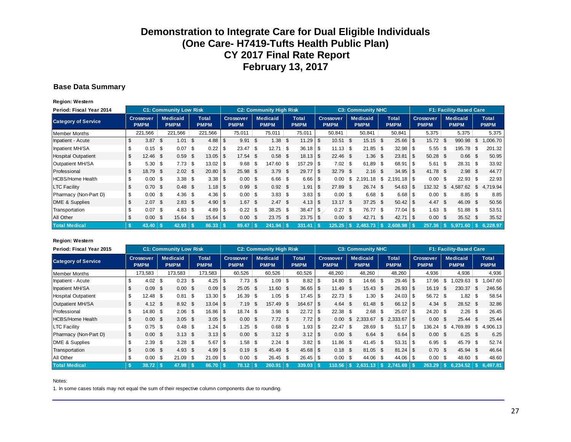#### **Base Data Summary**

**Region: Western**

| Period: Fiscal Year 2014   |              |                          |      | <b>C1: Community Low Risk</b>  |      |                             |      |                                 | <b>C2: Community High Risk</b> |          |                      |          |                          |      | <b>C3: Community NHC</b>       |          |                             |              |                                 |      | F1: Facility-Based Care        |      |                             |
|----------------------------|--------------|--------------------------|------|--------------------------------|------|-----------------------------|------|---------------------------------|--------------------------------|----------|----------------------|----------|--------------------------|------|--------------------------------|----------|-----------------------------|--------------|---------------------------------|------|--------------------------------|------|-----------------------------|
| <b>Category of Service</b> |              | Crossover<br><b>PMPM</b> |      | <b>Medicaid</b><br><b>PMPM</b> |      | <b>Total</b><br><b>PMPM</b> |      | <b>Crossover</b><br><b>PMPM</b> | <b>Medicaid</b><br><b>PMPM</b> |          | Total<br><b>PMPM</b> |          | Crossover<br><b>PMPM</b> |      | <b>Medicaid</b><br><b>PMPM</b> |          | <b>Total</b><br><b>PMPM</b> |              | <b>Crossover</b><br><b>PMPM</b> |      | <b>Medicaid</b><br><b>PMPM</b> |      | <b>Total</b><br><b>PMPM</b> |
| <b>Member Months</b>       |              | 221,566                  |      | 221,566                        |      | 221,566                     |      | 75,011                          | 75,011                         |          | 75,011               |          | 50,841                   |      | 50,841                         |          | 50,841                      |              | 5,375                           |      | 5,375                          |      | 5,375                       |
| Inpatient - Acute          | \$           | 3.87                     | - \$ | 1.01                           | S.   |                             |      | $9.91$ \$                       | $1.38$ \$                      |          | 11.29                | \$       | 10.51                    | \$   | 15.15                          | <b>S</b> | $25.66$ \$                  |              | 15.72                           | - \$ | 990.98                         | \$   | 1,006.70                    |
| Inpatient MH/SA            | \$.          |                          |      | 0.07                           | \$   | 0.22                        | l \$ | $23.47$ \$                      | 12.71                          | <b>S</b> | $36.18$ \$           |          | $11.13$ \$               |      | 21.85                          | - \$     | $32.98$ \$                  |              | $5.55$ \$                       |      | 195.78                         | \$   | 201.32                      |
| <b>Hospital Outpatient</b> | \$           | $12.46$ \$               |      | 0.59                           | \$   |                             |      | 17.54 \$                        | $0.58$ \$                      |          | $18.13$ $\sqrt{5}$   |          | $22.46$ \$               |      | 1.36                           | \$       | 23.81                       | $\mathsf{I}$ | 50.28 \$                        |      | 0.66                           | - \$ | 50.95                       |
| Outpatient MH/SA           |              | $5.30$ \$                |      | 7.73                           | \$   |                             |      | $9.68$ \$                       | $147.60$ \$                    |          | 157.29               | - S      | $7.02$ \$                |      | 61.89                          | - \$     | $68.91$ \\$                 |              | $5.61$ \ \$                     |      | $28.31$ \$                     |      | 33.92                       |
| Professional               | \$           | 18.79                    | -\$  | $2.02 \quad$ \$                |      | 20.80                       | l \$ | 25.98 \$                        | $3.79$ \$                      |          | 29.77                | \$       | 32.79                    | - \$ | 2.16                           | \$.      | $34.95$ \$                  |              | 41.78 \$                        |      | $2.98$ \$                      |      | 44.77                       |
| <b>HCBS/Home Health</b>    | \$           | 0.00                     | -\$  |                                |      |                             |      | $0.00$ \$                       | $6.66$ \$                      |          | $6.66$ \ \$          |          | 0.00                     | \$   | 2,191.18                       | \$       |                             |              | $0.00$ \$                       |      | $22.93$ \$                     |      | 22.93                       |
| <b>LTC Facility</b>        |              | 0.70                     | - \$ | 0.48                           | - \$ |                             |      | $0.99$ \$                       | $0.92$ \$                      |          | 1.91                 | <b>S</b> | 27.89                    | -S   | 26.74                          | -S.      | $54.63$ \$                  |              | 132.32                          | - \$ | 4,587.62                       | \$   | 4,719.94                    |
| Pharmacy (Non-Part D)      | \$           | $0.00$ \$                |      | 4.36                           | \$   |                             |      | $0.00$ \$                       | $3.83$ \$                      |          | $3.83$ \ \ \$        |          | $0.00$ \$                |      | $6.68$ \$                      |          | $6.68$   \$                 |              | $0.00$ \$                       |      | $8.85$ \ \ \$                  |      | 8.85                        |
| DME & Supplies             | \$.          | 2.07                     | \$   | 2.83                           | \$   |                             |      | $1.67$ \$                       | 2.47S                          |          |                      |          | 13.17                    | \$   | 37.25                          | <b>S</b> |                             |              | 4.47 S                          |      | 46.09                          | \$   | 50.56                       |
| Transportation             | \$           | 0.07                     | ∣\$  | 4.83                           | \$   | 4.89                        | l \$ | $0.22$ \$                       | $38.25$ \$                     |          | $38.47$ \ \ \$       |          | 0.27                     | \$   | 76.77                          | -\$      | $77.04$ \$                  |              | $1.63$ \$                       |      | $51.88$ \ \$                   |      | 53.51                       |
| All Other                  | \$           | 0.00                     | -\$  | 15.64                          | - \$ |                             |      | $0.00\ 5$                       | $23.75$ \$                     |          | $23.75$ \$           |          | 0.00                     | \$   | 42.71                          | -S.      | $42.71$ \\$                 |              | $0.00\quad$ \$                  |      | 35.52 \$                       |      | 35.52                       |
| <b>Total Medical</b>       | $\mathbf{s}$ | 43.40                    |      | 42.93                          |      | 86.33                       |      | 89.47                           | 241.94                         |          | 331.41               |          | 125.25                   | -S.  | 2.483.73                       |          | $2.608.98$ \ \$             |              | 257.36                          |      | 5.971.60                       |      | 6.228.97                    |

#### **Region: Western**

| Period: Fiscal Year 2015   |     |                                 |      | <b>C1: Community Low Risk</b>  |               |                             |                |                                 |      | <b>C2: Community High Risk</b> |                             |          |                                 |      | <b>C3: Community NHC</b>       |      |                             |                                 |                 | F1: Facility-Based Care        |    |                             |
|----------------------------|-----|---------------------------------|------|--------------------------------|---------------|-----------------------------|----------------|---------------------------------|------|--------------------------------|-----------------------------|----------|---------------------------------|------|--------------------------------|------|-----------------------------|---------------------------------|-----------------|--------------------------------|----|-----------------------------|
| <b>Category of Service</b> |     | <b>Crossover</b><br><b>PMPM</b> |      | <b>Medicaid</b><br><b>PMPM</b> |               | <b>Total</b><br><b>PMPM</b> |                | <b>Crossover</b><br><b>PMPM</b> |      | <b>Medicaid</b><br><b>PMPM</b> | <b>Total</b><br><b>PMPM</b> |          | <b>Crossover</b><br><b>PMPM</b> |      | <b>Medicaid</b><br><b>PMPM</b> |      | <b>Total</b><br><b>PMPM</b> | <b>Crossover</b><br><b>PMPM</b> |                 | <b>Medicaid</b><br><b>PMPM</b> |    | <b>Total</b><br><b>PMPM</b> |
| <b>Member Months</b>       |     | 173,583                         |      | 173,583                        |               | 173,583                     |                | 60,526                          |      | 60,526                         | 60,526                      |          | 48,260                          |      | 48,260                         |      | 48,260                      | 4,936                           |                 | 4,936                          |    | 4,936                       |
| Inpatient - Acute          |     | $4.02 \,$ \$                    |      | 0.23                           | \$            |                             |                | $7.73$ \$                       |      | $1.09$ \$                      | 8.82                        | \$       | $14.80$ \$                      |      | 14.66                          | \$   | $29.46$ \$                  | 17.96                           | <b>S</b>        | .029.63                        | \$ | ,047.60                     |
| Inpatient MH/SA            |     | 0.09                            | \$   | 0.00                           | S.            | 0.09                        | l \$           | $25.05$ \$                      |      | $11.60$ \$                     | $36.65$   \$                |          | 11.49                           | \$   | 15.43                          | - \$ | $26.93$ \$                  | 16.19                           | - \$            | 230.37                         | S  | 246.56                      |
| <b>Hospital Outpatient</b> |     | $12.48$ \$                      |      | 0.81                           | \$            | 13.30                       | <b>1</b> \$    | $16.39$ \$                      |      | $1.05$ \$                      | 17.45                       | <b>S</b> | 22.73                           | \$   | 1.30                           | \$   | $24.03$ \$                  | 56.72 \$                        |                 | $1.82$ \$                      |    | 58.54                       |
| <b>Outpatient MH/SA</b>    |     | 4.12                            | - \$ | 8.92                           | - \$          |                             |                | 7.19                            | - \$ | 157.49 \$                      | $164.67$ $\sqrt$            |          | 4.64                            | \$   | 61.48                          | - \$ |                             | $4.34 \quad $$                  |                 | 28.52 \$                       |    | 32.86                       |
| Professional               |     | $14.80$ \$                      |      | 2.06                           | \$            | $16.86$ \ \$                |                | $18.74$ \$                      |      |                                | 22.72                       | <b>S</b> | 22.38                           | \$   | 2.68                           | \$   | $25.07$ \$                  | $24.20$ \$                      |                 |                                |    | 26.45                       |
| <b>HCBS/Home Health</b>    |     | 0.00                            | \$   | 3.05                           | - \$          | $3.05$ \$                   |                | $0.00\,$ \$                     |      | $7.72$ \$                      | 7.72                        | <b>S</b> | 0.00                            | \$   | 2.333.67                       | \$   |                             | $0.00 \,$ \$                    |                 | $25.44$ \$                     |    | 25.44                       |
| <b>LTC Facility</b>        |     | $0.75$ \$                       |      | 0.48                           | \$            |                             |                | $1.25$ \$                       |      | $0.68$ \ \$                    | 1.93                        | <b>S</b> | 22.47                           | \$   | 28.69                          | \$   | $51.17$ \\$                 | 136.24                          | $\mathbb{I}$ \$ | 4,769.89                       | \$ | 4,906.13                    |
| Pharmacy (Non-Part D)      | \$. | 0.00                            | - \$ | 3.13                           | \$            |                             |                | $0.00\,$ \$                     |      | $3.12$ \$                      |                             |          | 0.00                            | -\$  | $6.64$ \$                      |      | $6.64$ \ \ \$               | $0.00 \,$ \$                    |                 | $6.25$ \$                      |    | 6.25                        |
| DME & Supplies             |     | 2.39                            | - \$ | 3.28                           | $\mathfrak s$ | 5.67                        | l \$           |                                 |      | $2.24$ \$                      | 3.82                        | <b>S</b> | 11.86                           | \$   | 41.45                          | \$   | $53.31$ \$                  | $6.95$ \$                       |                 | $45.79$ \$                     |    | 52.74                       |
| Transportation             |     | 0.06                            | - \$ | 4.93                           | \$            | 4.99                        | $\overline{1}$ | $0.19$ \$                       |      | 45.49 \$                       |                             |          | 0.18                            | \$   | 81.05 \$                       |      |                             | $0.70$ \$                       |                 | 45.94 \$                       |    | 46.64                       |
| All Other                  |     | 0.00                            | -\$  | 21.09                          | \$            | $21.09$ \ \$                |                | $0.00$ \$                       |      | $26.45$ \$                     | $26.45$ \$                  |          | 0.00                            | \$   | 44.06                          | \$   | 44.06 \$                    | $0.00$ \$                       |                 | $48.60$ \$                     |    | 48.60                       |
| <b>Total Medical</b>       | -S  | 38.72                           |      | 47.98                          |               | 86.70                       |                | 78.12                           |      | 260.91                         | 339.03                      |          | 110.56                          | - \$ |                                |      | $2,741.69$ \ \$             | 263.29                          | ۱s.             | 6.234.52                       |    | 6.497.81                    |

#### Notes: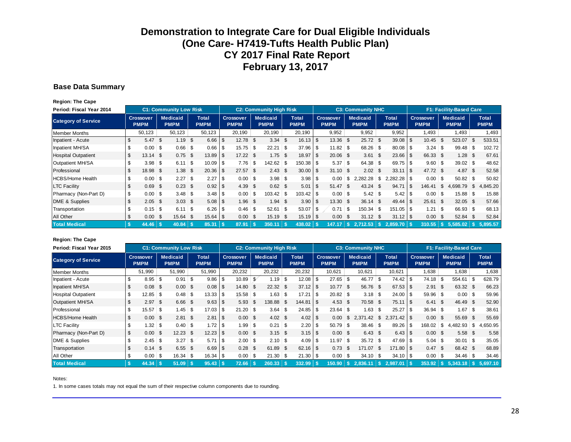#### **Base Data Summary**

**Region: The Cape**

| Period: Fiscal Year 2014   |    |                                 |      | <b>C1: Community Low Risk</b>  |      |                      |      |                                 |      | <b>C2: Community High Risk</b> |                             |      |                                 |           | <b>C3: Community NHC</b>       |      |                             |            |                                 |    | <b>F1: Facility-Based Care</b> |      |                             |
|----------------------------|----|---------------------------------|------|--------------------------------|------|----------------------|------|---------------------------------|------|--------------------------------|-----------------------------|------|---------------------------------|-----------|--------------------------------|------|-----------------------------|------------|---------------------------------|----|--------------------------------|------|-----------------------------|
| <b>Category of Service</b> |    | <b>Crossover</b><br><b>PMPM</b> |      | <b>Medicaid</b><br><b>PMPM</b> |      | Total<br><b>PMPM</b> |      | <b>Crossover</b><br><b>PMPM</b> |      | <b>Medicaid</b><br><b>PMPM</b> | <b>Total</b><br><b>PMPM</b> |      | <b>Crossover</b><br><b>PMPM</b> |           | <b>Medicaid</b><br><b>PMPM</b> |      | <b>Total</b><br><b>PMPM</b> |            | <b>Crossover</b><br><b>PMPM</b> |    | <b>Medicaid</b><br><b>PMPM</b> |      | <b>Total</b><br><b>PMPM</b> |
| <b>Member Months</b>       |    | 50,123                          |      | 50,123                         |      | 50,123               |      | 20,190                          |      | 20,190                         | 20,190                      |      | 9,952                           |           | 9,952                          |      | 9,952                       |            | 1,493                           |    | 1,493                          |      | 1,493                       |
| Inpatient - Acute          | \$ | $5.47$ \$                       |      | 1.19                           | \$   | $6.66$ \ \$          |      | $12.78$ \$                      |      | $3.34$ \$                      |                             |      | 13.36 \$                        |           | 25.72 \$                       |      | $39.08$ \$                  |            | 10.45                           | -S | 523.07                         | \$   | 533.51                      |
| Inpatient MH/SA            |    | $0.00$ \$                       |      | 0.66                           | \$   | 0.66                 | -\$  | $15.75$ \$                      |      | $22.21$ \$                     | 37.96                       | \$   | $11.82$ \$                      |           | 68.26 \$                       |      | $80.08$ \$                  |            |                                 |    | 99.48                          | \$   | 102.72                      |
| <b>Hospital Outpatient</b> | \$ | $13.14$ \$                      |      | 0.75                           | \$   | 13.89                | \$   | $17.22$ \$                      |      | $1.75$ \$                      | 18.97                       | \$   | $20.06$ \$                      |           | 3.61                           | - \$ | 23.66                       | - \$       | 66.33 \$                        |    | 1.28                           | -\$  | 67.61                       |
| Outpatient MH/SA           |    | $3.98$ \$                       |      | 6.11                           | \$   |                      |      | $7.76$ \$                       |      | $142.62$ \$                    |                             |      | 5.37                            | <b>\$</b> | 64.38 \$                       |      | $69.75$ \$                  |            | $9.60$ \$                       |    | $39.02$ \$                     |      | 48.62                       |
| Professional               |    | 18.98                           | - \$ | 1.38                           | \$   | 20.36                | -\$  | $27.57$ \$                      |      | $2.43$ \$                      | $30.00$   \$                |      | $31.10$ \$                      |           | $2.02 \quad$                   |      | 33.11                       | $\sqrt{3}$ | 47.72 \$                        |    | 4.87                           | - \$ | 52.58                       |
| <b>HCBS/Home Health</b>    | \$ | 0.00                            | - \$ | 2.27                           | \$   | 2.27                 | -S   | $0.00$ \$                       |      | $3.98$ \$                      |                             |      | 0.00                            | \$        | 2,282.28                       | \$   | $2,282.28$ \$               |            | 0.00                            | \$ | $50.82$ \$                     |      | 50.82                       |
| <b>LTC Facility</b>        |    | 0.69                            | \$   | 0.23                           | - \$ | 0.92                 | - \$ | $4.39$ \$                       |      | $0.62$ \$                      | 5.01                        | l \$ | 51.47                           | -\$       | 43.24                          | - \$ | 94.71                       | - \$       | 146.41                          | S. | 4,698.79                       | \$   | .845.20                     |
| Pharmacy (Non-Part D)      | \$ | $0.00$ \$                       |      |                                |      | 3.48                 | \$   | 0.00                            | - \$ |                                |                             |      | $0.00$ \$                       |           | $5.42$ \ \$                    |      |                             |            | 0.00                            | \$ | 15.88                          | \$   | 15.88                       |
| DME & Supplies             | \$ | 2.05                            | \$   | 3.03                           | \$   | $5.08$ \ \$          |      | $1.96$ \$                       |      | $1.94$ \$                      |                             |      | 13.30 \$                        |           | $36.14$ \$                     |      | 49.44                       | <b>S</b>   | $25.61$ \$                      |    | $32.05$ \$                     |      | 57.66                       |
| Transportation             |    | $0.15$ \$                       |      | 6.11                           | \$   | 6.26                 | - \$ |                                 |      | $52.61$ \\$                    | 53.07                       | l \$ | 0.71                            | -\$       | $150.34$ \$                    |      | $151.05$ $\sqrt{5}$         |            | 1.21                            | \$ | $66.93$ \$                     |      | 68.13                       |
| All Other                  |    | 0.00                            | - \$ | 15.64                          | \$   |                      |      | $0.00\quad$ \$                  |      | 15.19 \$                       | 15.19                       | -\$  | 0.00                            | -\$       | $31.12$ \$                     |      | 31.12                       | \$         | $0.00 \,$ \$                    |    | 52.84 \$                       |      | 52.84                       |
| <b>Total Medical</b>       | -S | 44.46                           |      | 40.84                          |      | 85.31                |      | 87.91                           |      | 350.11                         | 438.02                      |      | 147.17                          |           | 2.712.53                       |      | 2.859.70                    |            | 310.55                          |    | 5.585.02                       | - \$ | 5.895.57                    |

#### **Region: The Cape**

| Period: Fiscal Year 2015   |     |                                 |      | <b>C1: Community Low Risk</b>  |          |                      |          |                                 |      | <b>C2: Community High Risk</b> |                             |      |                                 |          | <b>C3: Community NHC</b>       |              |                             |                          |      | F1: Facility-Based Care        |     |                             |
|----------------------------|-----|---------------------------------|------|--------------------------------|----------|----------------------|----------|---------------------------------|------|--------------------------------|-----------------------------|------|---------------------------------|----------|--------------------------------|--------------|-----------------------------|--------------------------|------|--------------------------------|-----|-----------------------------|
| <b>Category of Service</b> |     | <b>Crossover</b><br><b>PMPM</b> |      | <b>Medicaid</b><br><b>PMPM</b> |          | Total<br><b>PMPM</b> |          | <b>Crossover</b><br><b>PMPM</b> |      | <b>Medicaid</b><br><b>PMPM</b> | <b>Total</b><br><b>PMPM</b> |      | <b>Crossover</b><br><b>PMPM</b> |          | <b>Medicaid</b><br><b>PMPM</b> |              | <b>Total</b><br><b>PMPM</b> | Crossover<br><b>PMPM</b> |      | <b>Medicaid</b><br><b>PMPM</b> |     | <b>Total</b><br><b>PMPM</b> |
| <b>Member Months</b>       |     | 51,990                          |      | 51,990                         |          | 51,990               |          | 20,232                          |      | 20,232                         | 20,232                      |      | 10,621                          |          | 10,621                         |              | 10,621                      | 1,638                    |      | 1,638                          |     | 1,638                       |
| Inpatient - Acute          |     | $8.95$ \$                       |      | 0.91                           | -\$      | 9.86                 | -S       | $10.89$ \$                      |      | $1.19$ \$                      | 12.08                       | -\$  | $27.65$ \$                      |          | 46.77                          | $\mathsf{S}$ | 74.42 \$                    | 74.18                    | \$   | 554.61                         | -\$ | 628.79                      |
| Inpatient MH/SA            |     | 0.08                            | -\$  | 0.00                           | - \$     | 0.08                 | -\$      | 14.80 \$                        |      | $22.32$ \$                     |                             |      | $10.77$ \$                      |          | 56.76 \$                       |              |                             | 2.91                     | - \$ | 63.32 \$                       |     | 66.23                       |
| <b>Hospital Outpatient</b> |     |                                 |      | $0.48$ \ \ \$                  |          |                      |          | $15.58$ \$                      |      | $1.63$ \$                      | 17.21                       | -\$  | $20.82$ \$                      |          |                                |              | $24.00$ \$                  | $59.96$ \$               |      | $0.00$ \$                      |     | 59.96                       |
| Outpatient MH/SA           |     | 2.97                            | - \$ | 6.66 <sup>5</sup>              |          | 9.63                 | - \$     | 5.93                            | - \$ | 138.88 \$                      |                             |      | 4.53                            | - \$     | 70.58 \$                       |              | $75.11$ \ \$                | 6.41                     | -S   | 46.49 \$                       |     | 52.90                       |
| Professional               | \$  | $15.57$ \ \$                    |      | $1.45$ \$                      |          | 17.03                | -S       | $21.20$ \$                      |      | $3.64$ \ \ \$                  | 24.85                       | - \$ | $23.64$ \$                      |          | 1.63                           | -\$          | $25.27$ \$                  | $36.94$ \$               |      | $1.67$ \$                      |     | 38.61                       |
| <b>HCBS/Home Health</b>    |     | 0.00                            | -\$  | 2.81                           | -\$      | 2.81                 | <b>S</b> | $0.00 \,$ \$                    |      | $4.02 \quad $$                 | $4.02$ \$                   |      | 0.00                            | \$.      | 2.371.42                       | \$           | $2,371.42$ \\$              | 0.00                     | -S   | 55.69                          | \$  | 55.69                       |
| <b>LTC Facility</b>        |     | $1.32$ \$                       |      | $0.40$ \$                      |          | 1.72                 | - \$     | $1.99$ \$                       |      |                                | 2.20                        | -\$  | $50.79$ \$                      |          | $38.46$ \$                     |              | $89.26$ \ \$                | 168.02                   | \$   | 4,482.93                       | \$  | 4,650.95                    |
| Pharmacy (Non-Part D)      | \$  | 0.00                            | -\$  | 12.23                          | \$       | $12.23$ \$           |          | $0.00\,$ \$                     |      | $3.15$ \$                      |                             |      | $0.00 \,$ \$                    |          | $6.43 \quad$                   |              |                             | $0.00 \,$ \$             |      | $5.58$ \$                      |     | 5.58                        |
| DME & Supplies             |     |                                 |      | 3.27                           | <b>S</b> | 5.71                 | l \$     |                                 |      |                                | 4.09                        | -\$  | $11.97$ \$                      |          | $35.72$ \$                     |              | $47.69$ \ \$                | $5.04$ \ \ \$            |      | $30.01$ \$                     |     | 35.05                       |
| Transportation             |     | 0.14                            | - \$ | $6.55$ \$                      |          | 6.69                 | -\$      | $0.28$ \$                       |      | 61.89 \$                       |                             |      | 0.73                            | - \$     | 171.07                         | - \$         | $171.80$ \ \$               | 0.47 S                   |      | 68.42 \$                       |     | 68.89                       |
| All Other                  |     | 0.00                            | 5    | $16.34$ \$                     |          |                      |          | $0.00$ \$                       |      | $21.30$ \$                     | $21.30$ \$                  |      | 0.00                            | <b>S</b> | $34.10$ \$                     |              | $34.10$ \ \$                | $0.00$ \$                |      | $34.46$ \$                     |     | 34.46                       |
| <b>Total Medical</b>       | -\$ | 44.34                           |      | $51.09$ \ \$                   |          | 95.43                |          | 72.66                           |      | 260.33                         | 332.99                      |      | $150.90$   \$                   |          | 2.836.11                       | -S           | 2.987.01                    | 353.92                   |      | 5,343,18                       |     | 5.697.10                    |

Notes: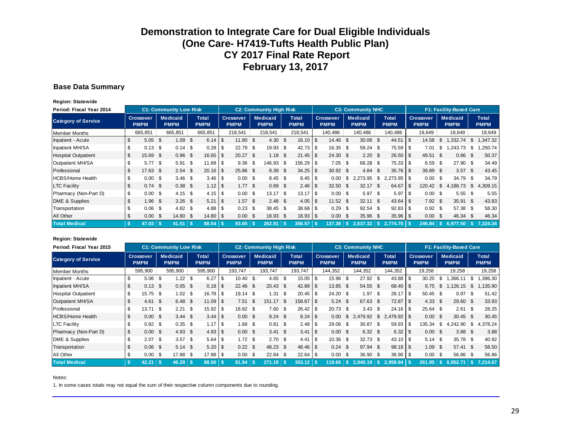#### **Base Data Summary**

**Region: Statewide**

| Period: Fiscal Year 2014   |     |                                 |      | <b>C1: Community Low Risk</b>  |            |                      |      |                          |      | <b>C2: Community High Risk</b> |                |                             |      |                                 |      | <b>C3: Community NHC</b>       |      |                             |      |                                 |              | <b>F1: Facility-Based Care</b> |                      |
|----------------------------|-----|---------------------------------|------|--------------------------------|------------|----------------------|------|--------------------------|------|--------------------------------|----------------|-----------------------------|------|---------------------------------|------|--------------------------------|------|-----------------------------|------|---------------------------------|--------------|--------------------------------|----------------------|
| <b>Category of Service</b> |     | <b>Crossover</b><br><b>PMPM</b> |      | <b>Medicaid</b><br><b>PMPM</b> |            | Total<br><b>PMPM</b> |      | Crossover<br><b>PMPM</b> |      | <b>Medicaid</b><br><b>PMPM</b> |                | <b>Total</b><br><b>PMPM</b> |      | <b>Crossover</b><br><b>PMPM</b> |      | <b>Medicaid</b><br><b>PMPM</b> |      | <b>Total</b><br><b>PMPM</b> |      | <b>Crossover</b><br><b>PMPM</b> |              | <b>Medicaid</b><br><b>PMPM</b> | Total<br><b>PMPM</b> |
| <b>Member Months</b>       |     | 665,851                         |      | 665,851                        |            | 665,851              |      | 218,541                  |      | 218.541                        |                | 218,541                     |      | 140,486                         |      | 140,486                        |      | 140,486                     |      | 19,649                          |              | 19,649                         | 19,649               |
| Inpatient - Acute          |     | 5.05                            | - \$ | 1.09                           | -\$        | $6.14$ \ \ \$        |      | 11.80 S                  |      | 4.30                           | \$             | 16.10                       | \$   | 14.46                           | \$   | 30.06 \$                       |      | 44.51                       | - \$ | 14.58                           | \$           | ,332.74                        | \$<br>1,347.32       |
| Inpatient MH/SA            |     | 0.13                            | - \$ | 0.14                           | $\vert$ \$ | 0.28                 |      | $22.79$ \$               |      | 19.93                          | \$             | 42.73                       | \$   | 16.35                           | \$   | $59.24$ \$                     |      | $75.59$ \ \$                |      | 7.01                            | \$           | ,243.73                        | \$<br>.250.74        |
| <b>Hospital Outpatient</b> |     | 15.69                           | -\$  | 0.96                           | \$         | 16.65                |      | $20.27$ \$               |      | 1.18                           | -S             | 21.45                       | \$   | 24.30                           | - \$ | $2.20\  \  \, $$               |      | $26.50$ \$                  |      | 49.51 \$                        |              | 0.86                           | \$<br>50.37          |
| Outpatient MH/SA           |     | $5.77$ \ \$                     |      | 5.91                           | <b>\$</b>  | 11.68                |      | $9.36$ \$                |      | 146.93 \$                      |                | 156.29                      | -S   | 7.05                            | \$   | 68.28 \$                       |      | $75.33$ \ \ \$              |      | 6.59                            | \$           | $27.90$ \$                     | 34.49                |
| Professional               |     | 17.63                           | -\$  | 2.54                           | \$         | 20.16                | l \$ | 25.86 \$                 |      | 8.39                           | $\mathfrak{L}$ | 34.25                       | \$   | $30.92$ \$                      |      | 4.84                           | - \$ |                             |      | 39.89                           | - \$         | 3.57                           | \$<br>43.45          |
| <b>HCBS/Home Health</b>    |     | 0.00                            | - \$ |                                |            |                      |      | $0.00$ \$                |      | $8.45$ \ \ \$                  |                | 8.45                        | \$   | 0.00                            | \$   | 2,273.95                       | \$   | $2,273.95$ \$               |      | 0.00                            | ၊ \$         | $34.79$ \$                     | 34.79                |
| <b>LTC Facility</b>        |     | 0.74                            | \$   | 0.38                           | -\$        | $1.12$   \$          |      | 1.77S                    |      | 0.69                           | -S             | 2.46                        | \$   | 32.50                           | - \$ | $32.17$ \$                     |      | 64.67                       | - \$ | 120.42                          | \$           | 4.188.73                       | \$<br>4.309.15       |
| Pharmacy (Non-Part D)      | \$  | 0.00                            | ၊ န  |                                |            |                      |      | $0.00$ \$                |      | 13.17                          | \$             | 13.17                       | \$   | 0.00                            | \$   | $5.97$ \\$                     |      | 5.97                        | - \$ |                                 |              | $5.55$ \ \$                    | 5.55                 |
| DME & Supplies             |     | 1.96                            | \$   | 3.26                           | - \$       | 5.21                 |      | 1.57                     | - \$ | $2.48$ \$                      |                | 4.05                        | \$   | 11.52                           | - \$ | 32.11                          | - \$ | $43.64$ \ \ \$              |      | 7.92                            | - \$         | 35.91                          | \$<br>43.83          |
| Transportation             |     | 0.06                            | ၊ န  |                                |            | $4.88$ \ \ \$        |      | $0.23$ \$                |      | $38.45$ \$                     |                | 38.68                       | \$   | 0.29                            | \$   | $92.54$ \$                     |      |                             |      | $0.92$ \$                       |              | $57.38$ \$                     | 58.30                |
| All Other                  |     | 0.00                            | \$   | 14.80                          | -\$        |                      |      | $0.00 \text{ }$ \$       |      | 18.93                          | - \$           | 18.93                       | - \$ | 0.00                            | \$   | 35.96                          | - \$ | 35.96                       |      | 0.00                            | - \$         | 46.34                          | \$<br>46.34          |
| <b>Total Medical</b>       | -\$ | 47.03                           |      | 41.51                          | ∣\$        | 88.54                |      | 93.65                    |      | 262.91                         |                | 356.57                      |      | 137.38                          |      | 2.637.32                       |      | $2.774.70$ S                |      | 246.84                          | $\mathbf{s}$ | 6.977.50                       | 7.224.34             |

#### **Region: Statewide**

| Period: Fiscal Year 2015   |                                 | <b>C1: Community Low Risk</b>  |            |                             |      |                                 |      | <b>C2: Community High Risk</b> |      |                             |     |                                 |      | <b>C3: Community NHC</b>       |     |                             |          |                                 |      | <b>F1: Facility-Based Care</b> |              |                             |
|----------------------------|---------------------------------|--------------------------------|------------|-----------------------------|------|---------------------------------|------|--------------------------------|------|-----------------------------|-----|---------------------------------|------|--------------------------------|-----|-----------------------------|----------|---------------------------------|------|--------------------------------|--------------|-----------------------------|
| <b>Category of Service</b> | <b>Crossover</b><br><b>PMPM</b> | <b>Medicaid</b><br><b>PMPM</b> |            | <b>Total</b><br><b>PMPM</b> |      | <b>Crossover</b><br><b>PMPM</b> |      | <b>Medicaid</b><br><b>PMPM</b> |      | <b>Total</b><br><b>PMPM</b> |     | <b>Crossover</b><br><b>PMPM</b> |      | <b>Medicaid</b><br><b>PMPM</b> |     | <b>Total</b><br><b>PMPM</b> |          | <b>Crossover</b><br><b>PMPM</b> |      | Medicaid<br><b>PMPM</b>        |              | <b>Total</b><br><b>PMPM</b> |
| Member Months              | 595,900                         | 595,900                        |            | 595,900                     |      | 193,747                         |      | 193,747                        |      | 193,747                     |     | 144,352                         |      | 144,352                        |     | 144,352                     |          | 19,258                          |      | 19,258                         |              | 19,258                      |
| Inpatient - Acute          | \$<br>5.06                      | \$                             |            | 6.27                        | \$   | $10.40$ \$                      |      | 4.65                           | း    | 15.05                       | \$  | 15.96                           | \$   | $27.92$ \$                     |     | 43.88                       | l \$     | 30.20                           | \$   | ,366.11                        | \$           | .396.30                     |
| Inpatient MH/SA            | \$<br>0.13                      | \$<br>0.05                     | - \$       |                             |      | $22.46$ \$                      |      | $20.43$ \$                     |      | 42.89                       | \$  | 13.85                           | - \$ | 54.55 \$                       |     | $68.40$ \ \ \$              |          | 9.75                            | \$   | 1,126.15                       | $\mathbb{S}$ | 135.90                      |
| <b>Hospital Outpatient</b> | \$<br>15.75                     | \$<br>1.02                     | 5          |                             |      | $19.14$ \$                      |      |                                |      | 20.45                       | \$  | 24.20                           | \$   | 1.97                           | -\$ | 26.17                       | l \$     | $50.45$ \$                      |      | 0.97                           | \$           | 51.42                       |
| Outpatient MH/SA           | 4.61                            | \$<br>6.48                     | - \$       | $11.09$ \ \$                |      | 7.51                            | - \$ | 151.17                         | - \$ | 158.67                      | \$  | 5.24                            | \$   | 67.63 \$                       |     | 72.87                       | <b>S</b> | 4.33                            | \$   | 29.60                          | $\mathbb{S}$ | 33.93                       |
| Professional               | \$<br>13.71                     | \$<br>2.21                     | \$         | 15.92                       | l \$ | $18.82$ \$                      |      | $7.60$ \$                      |      | 26.42                       | \$  | 20.73                           | \$   | 3.43                           | -S  |                             |          | $25.64$ \$                      |      | 2.61                           | \$           | 28.25                       |
| <b>HCBS/Home Health</b>    | \$<br>0.00                      | \$<br>3.44                     | - \$       |                             |      | $0.00 \,$ \$                    |      | $8.24$ \$                      |      | 8.24                        | -\$ | 0.00                            | \$   | 2.479.92                       | \$  |                             |          | 0.00                            | \$.  | 30.45                          | \$           | 30.45                       |
| <b>LTC Facility</b>        | \$<br>0.82                      | \$<br>0.35                     | $\sqrt{S}$ | 1.17                        | l \$ | $1.68$ \$                       |      | $0.81$ \ \$                    |      | 2.48                        | \$  | 29.06                           | \$   | $30.87$ \$                     |     | $59.93$ \$                  |          | 135.34                          | \$   | 4,242.90                       | \$           | 4,378.24                    |
| Pharmacy (Non-Part D)      | \$<br>0.00                      | \$<br>4.93                     | - \$       |                             |      | $0.00 \text{ }$ \$              |      | $3.41 \text{ } $s$             |      | 3.41                        | -\$ | $0.00 \,$ \$                    |      | $6.32$ \$                      |     |                             |          | $0.00\quad$ \$                  |      | 3.88                           | - \$         | 3.88                        |
| DME & Supplies             | \$<br>2.07                      | \$<br>3.57                     | \$         |                             |      |                                 |      | $2.70$ \$                      |      | 4.41                        | \$  | 10.36                           | \$   | $32.73$ \$                     |     | $43.10$ \ \$                |          | 5.14                            | - \$ | $35.78$ \$                     |              | 40.92                       |
| Transportation             | 0.06                            | \$<br>5.14                     | - \$       |                             |      | $0.22$ \$                       |      | 48.23 \$                       |      | 48.46                       | \$  | 0.24                            | \$   | 97.94 \$                       |     | $98.18$ \ \ \$              |          | 1.09                            | -\$  | 57.41                          | - \$         | 58.50                       |
| All Other                  | \$<br>0.00                      | \$<br>17.88                    | 5          |                             |      | $0.00$ \ \$                     |      | $22.64$ \$                     |      | 22.64                       | \$  | 0.00                            | \$   | $36.90$ \$                     |     | $36.90$ \$                  |          | 0.00                            | - \$ | 56.86                          | - S          | 56.86                       |
| <b>Total Medical</b>       | 42.21                           | 46.29                          |            | 88.50 \$                    |      | 81.94                           |      | 271.19                         |      | 353.12                      |     | 119.65                          |      | 2.840.19                       | -\$ |                             |          | 261.95                          | S.   | 6.952.71                       | 45           | 7.214.67                    |

Notes: